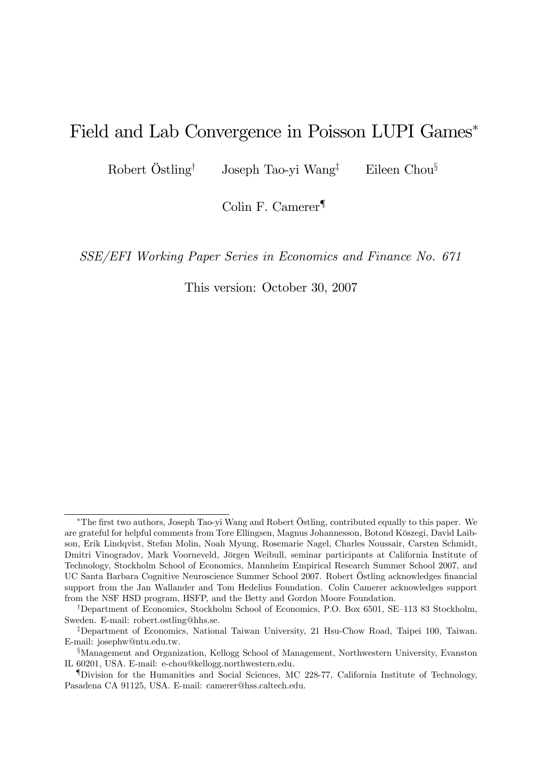# Field and Lab Convergence in Poisson LUPI Games

Robert Östling<sup>†</sup> Joseph Tao-yi Wang<sup>‡</sup> Eileen Chou<sup>§</sup>

Colin F. Camerer<sup>¶</sup>

SSE/EFI Working Paper Series in Economics and Finance No. 671

This version: October 30, 2007

<sup>\*</sup>The first two authors, Joseph Tao-yi Wang and Robert Östling, contributed equally to this paper. We are grateful for helpful comments from Tore Ellingsen, Magnus Johannesson, Botond Kˆszegi, David Laibson, Erik Lindqvist, Stefan Molin, Noah Myung, Rosemarie Nagel, Charles Noussair, Carsten Schmidt, Dmitri Vinogradov, Mark Voorneveld, Jörgen Weibull, seminar participants at California Institute of Technology, Stockholm School of Economics, Mannheim Empirical Research Summer School 2007, and UC Santa Barbara Cognitive Neuroscience Summer School 2007. Robert Östling acknowledges financial support from the Jan Wallander and Tom Hedelius Foundation. Colin Camerer acknowledges support from the NSF HSD program, HSFP, and the Betty and Gordon Moore Foundation.

<sup>&</sup>lt;sup>†</sup>Department of Economics, Stockholm School of Economics, P.O. Box 6501, SE–113 83 Stockholm, Sweden. E-mail: robert.ostling@hhs.se.

<sup>&</sup>lt;sup>‡</sup>Department of Economics, National Taiwan University, 21 Hsu-Chow Road, Taipei 100, Taiwan. E-mail: josephw@ntu.edu.tw.

<sup>&</sup>lt;sup>§</sup>Management and Organization, Kellogg School of Management, Northwestern University, Evanston IL 60201, USA. E-mail: e-chou@kellogg.northwestern.edu.

<sup>{</sup>Division for the Humanities and Social Sciences, MC 228-77, California Institute of Technology, Pasadena CA 91125, USA. E-mail: camerer@hss.caltech.edu.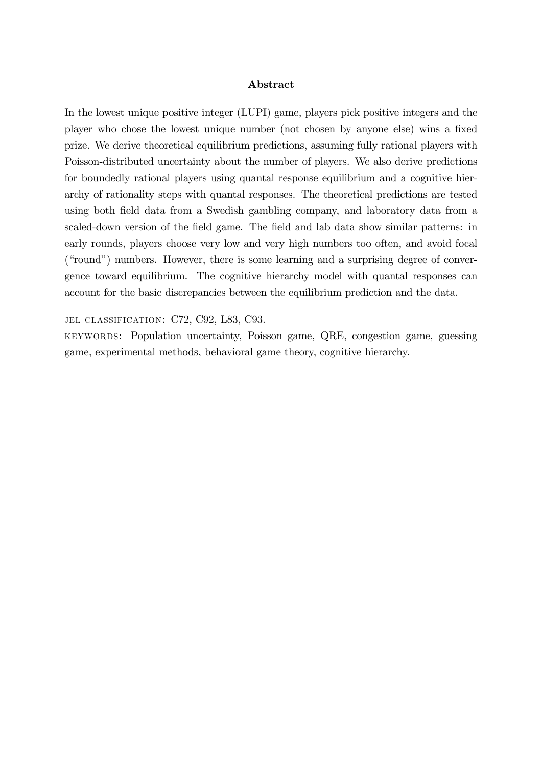#### Abstract

In the lowest unique positive integer (LUPI) game, players pick positive integers and the player who chose the lowest unique number (not chosen by anyone else) wins a fixed prize. We derive theoretical equilibrium predictions, assuming fully rational players with Poisson-distributed uncertainty about the number of players. We also derive predictions for boundedly rational players using quantal response equilibrium and a cognitive hierarchy of rationality steps with quantal responses. The theoretical predictions are tested using both field data from a Swedish gambling company, and laboratory data from a scaled-down version of the field game. The field and lab data show similar patterns: in early rounds, players choose very low and very high numbers too often, and avoid focal ("round") numbers. However, there is some learning and a surprising degree of convergence toward equilibrium. The cognitive hierarchy model with quantal responses can account for the basic discrepancies between the equilibrium prediction and the data.

JEL CLASSIFICATION: C72, C92, L83, C93.

keywords: Population uncertainty, Poisson game, QRE, congestion game, guessing game, experimental methods, behavioral game theory, cognitive hierarchy.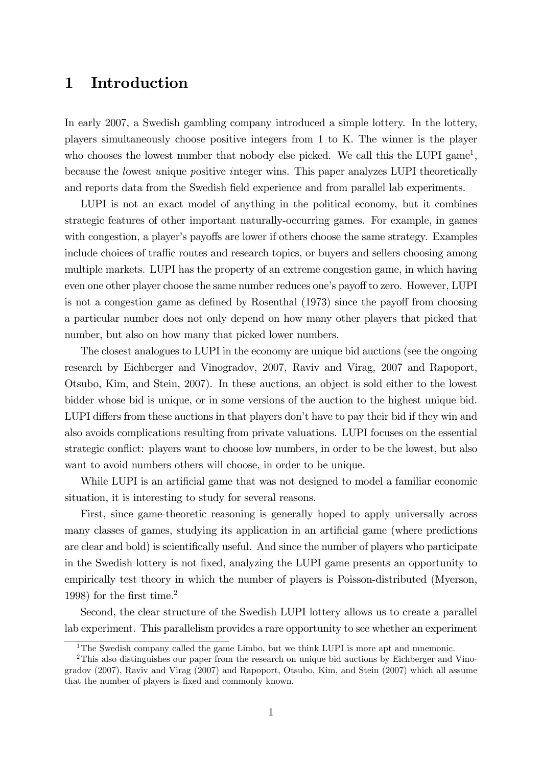# 1 Introduction

In early 2007, a Swedish gambling company introduced a simple lottery. In the lottery, players simultaneously choose positive integers from 1 to K. The winner is the player who chooses the lowest number that nobody else picked. We call this the LUPI game<sup>1</sup>, because the lowest unique positive integer wins. This paper analyzes LUPI theoretically and reports data from the Swedish field experience and from parallel lab experiments.

LUPI is not an exact model of anything in the political economy, but it combines strategic features of other important naturally-occurring games. For example, in games with congestion, a player's payoffs are lower if others choose the same strategy. Examples include choices of traffic routes and research topics, or buyers and sellers choosing among multiple markets. LUPI has the property of an extreme congestion game, in which having even one other player choose the same number reduces one's payoff to zero. However, LUPI is not a congestion game as defined by Rosenthal  $(1973)$  since the payoff from choosing a particular number does not only depend on how many other players that picked that number, but also on how many that picked lower numbers.

The closest analogues to LUPI in the economy are unique bid auctions (see the ongoing research by Eichberger and Vinogradov, 2007, Raviv and Virag, 2007 and Rapoport, Otsubo, Kim, and Stein, 2007). In these auctions, an object is sold either to the lowest bidder whose bid is unique, or in some versions of the auction to the highest unique bid. LUPI differs from these auctions in that players don't have to pay their bid if they win and also avoids complications resulting from private valuations. LUPI focuses on the essential strategic conflict: players want to choose low numbers, in order to be the lowest, but also want to avoid numbers others will choose, in order to be unique.

While LUPI is an artificial game that was not designed to model a familiar economic situation, it is interesting to study for several reasons.

First, since game-theoretic reasoning is generally hoped to apply universally across many classes of games, studying its application in an artificial game (where predictions are clear and bold) is scientifically useful. And since the number of players who participate in the Swedish lottery is not Öxed, analyzing the LUPI game presents an opportunity to empirically test theory in which the number of players is Poisson-distributed (Myerson, 1998) for the first time.<sup>2</sup>

Second, the clear structure of the Swedish LUPI lottery allows us to create a parallel lab experiment. This parallelism provides a rare opportunity to see whether an experiment

<sup>&</sup>lt;sup>1</sup>The Swedish company called the game Limbo, but we think LUPI is more apt and mnemonic.

<sup>2</sup>This also distinguishes our paper from the research on unique bid auctions by Eichberger and Vinogradov (2007), Raviv and Virag (2007) and Rapoport, Otsubo, Kim, and Stein (2007) which all assume that the number of players is fixed and commonly known.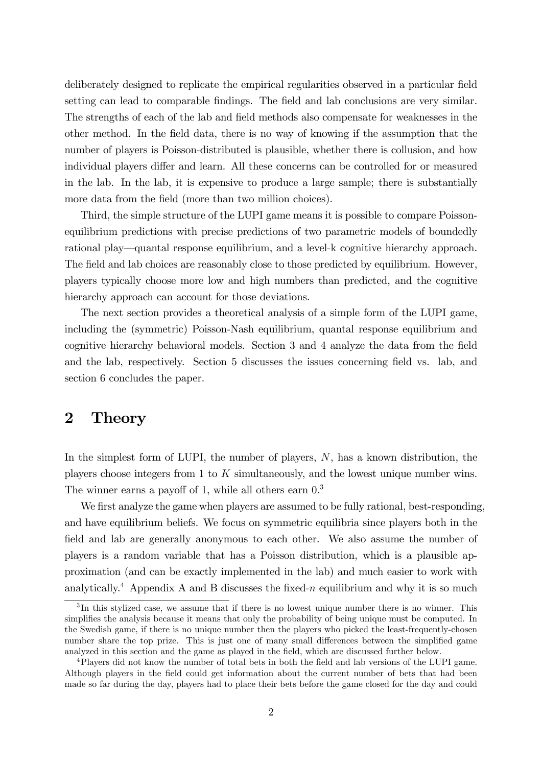deliberately designed to replicate the empirical regularities observed in a particular field setting can lead to comparable findings. The field and lab conclusions are very similar. The strengths of each of the lab and field methods also compensate for weaknesses in the other method. In the Öeld data, there is no way of knowing if the assumption that the number of players is Poisson-distributed is plausible, whether there is collusion, and how individual players differ and learn. All these concerns can be controlled for or measured in the lab. In the lab, it is expensive to produce a large sample; there is substantially more data from the field (more than two million choices).

Third, the simple structure of the LUPI game means it is possible to compare Poissonequilibrium predictions with precise predictions of two parametric models of boundedly rational play—quantal response equilibrium, and a level-k cognitive hierarchy approach. The field and lab choices are reasonably close to those predicted by equilibrium. However, players typically choose more low and high numbers than predicted, and the cognitive hierarchy approach can account for those deviations.

The next section provides a theoretical analysis of a simple form of the LUPI game, including the (symmetric) Poisson-Nash equilibrium, quantal response equilibrium and cognitive hierarchy behavioral models. Section 3 and 4 analyze the data from the field and the lab, respectively. Section 5 discusses the issues concerning field vs. lab, and section 6 concludes the paper.

# 2 Theory

In the simplest form of LUPI, the number of players, N, has a known distribution, the players choose integers from 1 to  $K$  simultaneously, and the lowest unique number wins. The winner earns a payoff of 1, while all others earn  $0<sup>3</sup>$ 

We first analyze the game when players are assumed to be fully rational, best-responding, and have equilibrium beliefs. We focus on symmetric equilibria since players both in the field and lab are generally anonymous to each other. We also assume the number of players is a random variable that has a Poisson distribution, which is a plausible approximation (and can be exactly implemented in the lab) and much easier to work with analytically.<sup>4</sup> Appendix A and B discusses the fixed-n equilibrium and why it is so much

<sup>&</sup>lt;sup>3</sup>In this stylized case, we assume that if there is no lowest unique number there is no winner. This simplifies the analysis because it means that only the probability of being unique must be computed. In the Swedish game, if there is no unique number then the players who picked the least-frequently-chosen number share the top prize. This is just one of many small differences between the simplified game analyzed in this section and the game as played in the field, which are discussed further below.

<sup>&</sup>lt;sup>4</sup>Players did not know the number of total bets in both the field and lab versions of the LUPI game. Although players in the Öeld could get information about the current number of bets that had been made so far during the day, players had to place their bets before the game closed for the day and could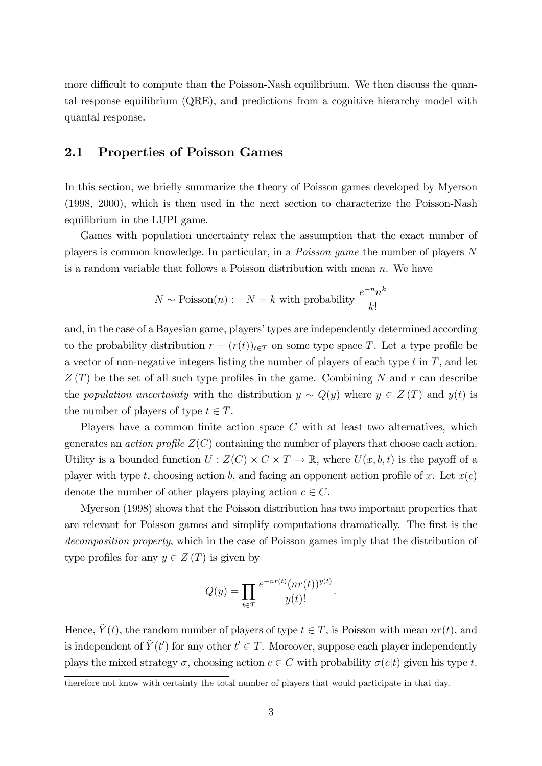more difficult to compute than the Poisson-Nash equilibrium. We then discuss the quantal response equilibrium (QRE), and predictions from a cognitive hierarchy model with quantal response.

## 2.1 Properties of Poisson Games

In this section, we briefly summarize the theory of Poisson games developed by Myerson (1998, 2000), which is then used in the next section to characterize the Poisson-Nash equilibrium in the LUPI game.

Games with population uncertainty relax the assumption that the exact number of players is common knowledge. In particular, in a Poisson game the number of players N is a random variable that follows a Poisson distribution with mean  $n$ . We have

$$
N \sim \text{Poisson}(n): \quad N = k \text{ with probability } \frac{e^{-n}n^k}{k!}
$$

and, in the case of a Bayesian game, players' types are independently determined according to the probability distribution  $r = (r(t))_{t \in T}$  on some type space T. Let a type profile be a vector of non-negative integers listing the number of players of each type  $t$  in  $T$ , and let  $Z(T)$  be the set of all such type profiles in the game. Combining N and r can describe the population uncertainty with the distribution  $y \sim Q(y)$  where  $y \in Z(T)$  and  $y(t)$  is the number of players of type  $t \in T$ .

Players have a common finite action space  $C$  with at least two alternatives, which generates an *action profile*  $Z(C)$  containing the number of players that choose each action. Utility is a bounded function  $U : Z(C) \times C \times T \to \mathbb{R}$ , where  $U(x, b, t)$  is the payoff of a player with type t, choosing action b, and facing an opponent action profile of x. Let  $x(c)$ denote the number of other players playing action  $c \in C$ .

Myerson (1998) shows that the Poisson distribution has two important properties that are relevant for Poisson games and simplify computations dramatically. The first is the decomposition property, which in the case of Poisson games imply that the distribution of type profiles for any  $y \in Z(T)$  is given by

$$
Q(y) = \prod_{t \in T} \frac{e^{-nr(t)}(nr(t))^{y(t)}}{y(t)!}.
$$

Hence,  $\tilde{Y}(t)$ , the random number of players of type  $t \in T$ , is Poisson with mean  $nr(t)$ , and is independent of  $\tilde{Y}(t')$  for any other  $t' \in T$ . Moreover, suppose each player independently plays the mixed strategy  $\sigma$ , choosing action  $c \in C$  with probability  $\sigma(c|t)$  given his type t.

therefore not know with certainty the total number of players that would participate in that day.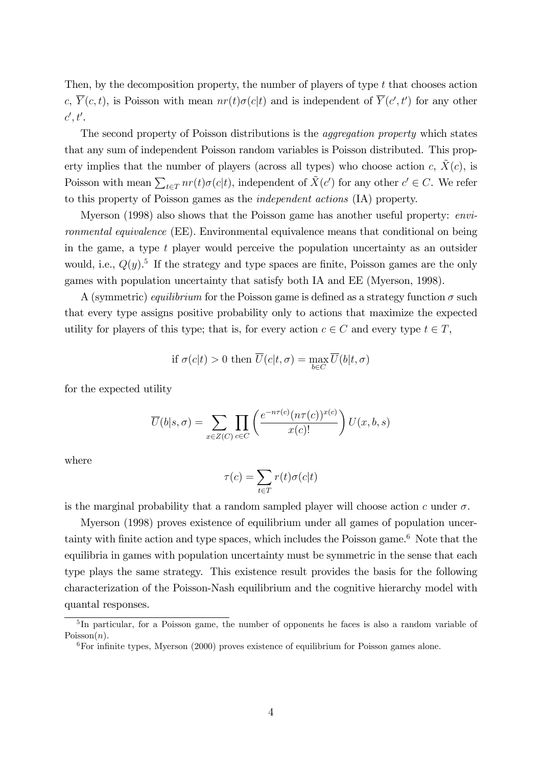Then, by the decomposition property, the number of players of type  $t$  that chooses action c,  $Y(c, t)$ , is Poisson with mean  $nr(t)\sigma(c|t)$  and is independent of  $Y(c', t')$  for any other  $c',t'.$ 

The second property of Poisson distributions is the aggregation property which states that any sum of independent Poisson random variables is Poisson distributed. This property implies that the number of players (across all types) who choose action c,  $\ddot{X}(c)$ , is Poisson with mean  $\sum_{t \in T} nr(t)\sigma(c|t)$ , independent of  $\tilde{X}(c')$  for any other  $c' \in C$ . We refer to this property of Poisson games as the independent actions (IA) property.

Myerson (1998) also shows that the Poisson game has another useful property: environmental equivalence (EE). Environmental equivalence means that conditional on being in the game, a type  $t$  player would perceive the population uncertainty as an outsider would, i.e.,  $Q(y)$ <sup>5</sup> If the strategy and type spaces are finite, Poisson games are the only games with population uncertainty that satisfy both IA and EE (Myerson, 1998).

A (symmetric) equilibrium for the Poisson game is defined as a strategy function  $\sigma$  such that every type assigns positive probability only to actions that maximize the expected utility for players of this type; that is, for every action  $c \in C$  and every type  $t \in T$ ,

if 
$$
\sigma(c|t) > 0
$$
 then  $\overline{U}(c|t, \sigma) = \max_{b \in C} \overline{U}(b|t, \sigma)$ 

for the expected utility

$$
\overline{U}(b|s,\sigma) = \sum_{x \in Z(C)} \prod_{c \in C} \left( \frac{e^{-n\tau(c)} (n\tau(c))^{x(c)}}{x(c)!} \right) U(x,b,s)
$$

where

$$
\tau(c) = \sum_{t \in T} r(t)\sigma(c|t)
$$

is the marginal probability that a random sampled player will choose action c under  $\sigma$ .

Myerson (1998) proves existence of equilibrium under all games of population uncertainty with finite action and type spaces, which includes the Poisson game.<sup>6</sup> Note that the equilibria in games with population uncertainty must be symmetric in the sense that each type plays the same strategy. This existence result provides the basis for the following characterization of the Poisson-Nash equilibrium and the cognitive hierarchy model with quantal responses.

<sup>&</sup>lt;sup>5</sup>In particular, for a Poisson game, the number of opponents he faces is also a random variable of  $Poisson(n)$ .

 $6$ For infinite types, Myerson (2000) proves existence of equilibrium for Poisson games alone.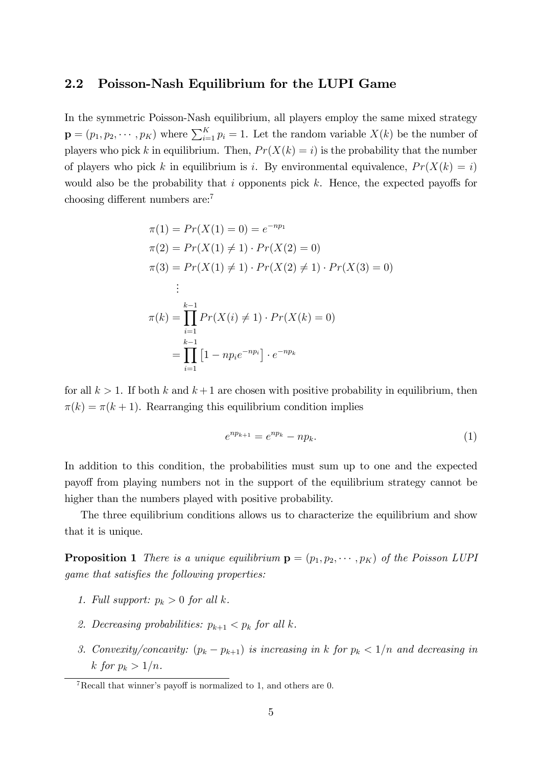#### 2.2 Poisson-Nash Equilibrium for the LUPI Game

In the symmetric Poisson-Nash equilibrium, all players employ the same mixed strategy  $\mathbf{p} = (p_1, p_2, \cdots, p_K)$  where  $\sum_{i=1}^{K} p_i = 1$ . Let the random variable  $X(k)$  be the number of players who pick k in equilibrium. Then,  $Pr(X(k) = i)$  is the probability that the number of players who pick k in equilibrium is i. By environmental equivalence,  $Pr(X(k) = i)$ would also be the probability that i opponents pick  $k$ . Hence, the expected payoffs for choosing different numbers  $are:$ <sup>7</sup>

$$
\pi(1) = Pr(X(1) = 0) = e^{-np_1}
$$
  
\n
$$
\pi(2) = Pr(X(1) \neq 1) \cdot Pr(X(2) = 0)
$$
  
\n
$$
\pi(3) = Pr(X(1) \neq 1) \cdot Pr(X(2) \neq 1) \cdot Pr(X(3) = 0)
$$
  
\n
$$
\vdots
$$
  
\n
$$
\pi(k) = \prod_{i=1}^{k-1} Pr(X(i) \neq 1) \cdot Pr(X(k) = 0)
$$
  
\n
$$
= \prod_{i=1}^{k-1} [1 - np_i e^{-np_i}] \cdot e^{-np_k}
$$

for all  $k > 1$ . If both k and  $k + 1$  are chosen with positive probability in equilibrium, then  $\pi(k) = \pi(k + 1)$ . Rearranging this equilibrium condition implies

<span id="page-6-0"></span>
$$
e^{np_{k+1}} = e^{np_k} - np_k.
$$
\n(1)

In addition to this condition, the probabilities must sum up to one and the expected payoff from playing numbers not in the support of the equilibrium strategy cannot be higher than the numbers played with positive probability.

The three equilibrium conditions allows us to characterize the equilibrium and show that it is unique.

<span id="page-6-1"></span>**Proposition 1** There is a unique equilibrium  $\mathbf{p} = (p_1, p_2, \dots, p_K)$  of the Poisson LUPI game that satisfies the following properties:

- 1. Full support:  $p_k > 0$  for all k.
- 2. Decreasing probabilities:  $p_{k+1} < p_k$  for all k.
- 3. Convexity/concavity:  $(p_k p_{k+1})$  is increasing in k for  $p_k < 1/n$  and decreasing in k for  $p_k > 1/n$ .

<sup>&</sup>lt;sup>7</sup>Recall that winner's payoff is normalized to 1, and others are 0.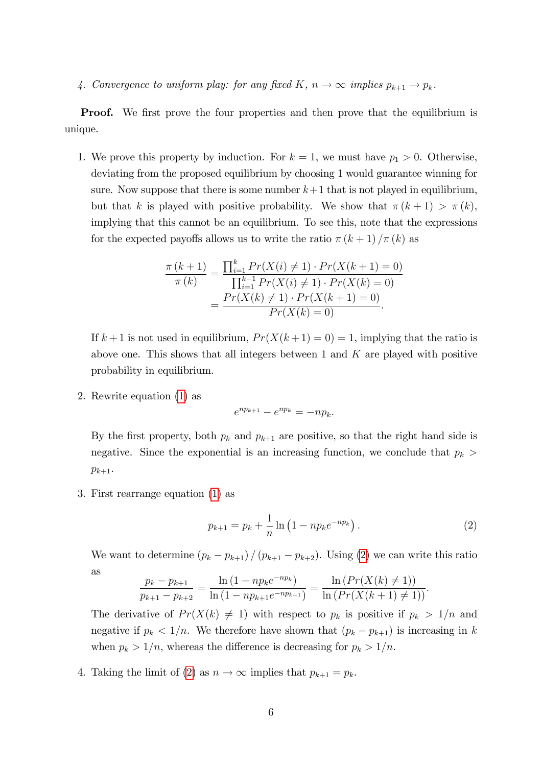4. Convergence to uniform play: for any fixed K,  $n \to \infty$  implies  $p_{k+1} \to p_k$ .

**Proof.** We first prove the four properties and then prove that the equilibrium is unique.

1. We prove this property by induction. For  $k = 1$ , we must have  $p_1 > 0$ . Otherwise, deviating from the proposed equilibrium by choosing 1 would guarantee winning for sure. Now suppose that there is some number  $k+1$  that is not played in equilibrium, but that k is played with positive probability. We show that  $\pi (k + 1) > \pi (k)$ , implying that this cannot be an equilibrium. To see this, note that the expressions for the expected payoffs allows us to write the ratio  $\pi (k + 1)/\pi (k)$  as

$$
\frac{\pi(k+1)}{\pi(k)} = \frac{\prod_{i=1}^{k} Pr(X(i) \neq 1) \cdot Pr(X(k+1) = 0)}{\prod_{i=1}^{k-1} Pr(X(i) \neq 1) \cdot Pr(X(k) = 0)}
$$

$$
= \frac{Pr(X(k) \neq 1) \cdot Pr(X(k+1) = 0)}{Pr(X(k) = 0)}.
$$

If  $k+1$  is not used in equilibrium,  $Pr(X(k+1) = 0) = 1$ , implying that the ratio is above one. This shows that all integers between 1 and  $K$  are played with positive probability in equilibrium.

2. Rewrite equation [\(1\)](#page-6-0) as

$$
e^{np_{k+1}}-e^{np_k}=-np_k.
$$

By the first property, both  $p_k$  and  $p_{k+1}$  are positive, so that the right hand side is negative. Since the exponential is an increasing function, we conclude that  $p_k$  $p_{k+1}$ .

3. First rearrange equation [\(1\)](#page-6-0) as

<span id="page-7-0"></span>
$$
p_{k+1} = p_k + \frac{1}{n} \ln \left( 1 - np_k e^{-np_k} \right). \tag{2}
$$

We want to determine  $(p_k - p_{k+1}) / (p_{k+1} - p_{k+2})$ . Using [\(2\)](#page-7-0) we can write this ratio as

$$
\frac{p_k - p_{k+1}}{p_{k+1} - p_{k+2}} = \frac{\ln\left(1 - np_k e^{-np_k}\right)}{\ln\left(1 - np_{k+1} e^{-np_{k+1}}\right)} = \frac{\ln\left(Pr(X(k) \neq 1)\right)}{\ln\left(Pr(X(k+1) \neq 1)\right)}.
$$

The derivative of  $Pr(X(k) \neq 1)$  with respect to  $p_k$  is positive if  $p_k > 1/n$  and negative if  $p_k < 1/n$ . We therefore have shown that  $(p_k - p_{k+1})$  is increasing in k when  $p_k > 1/n$ , whereas the difference is decreasing for  $p_k > 1/n$ .

4. Taking the limit of [\(2\)](#page-7-0) as  $n \to \infty$  implies that  $p_{k+1} = p_k$ .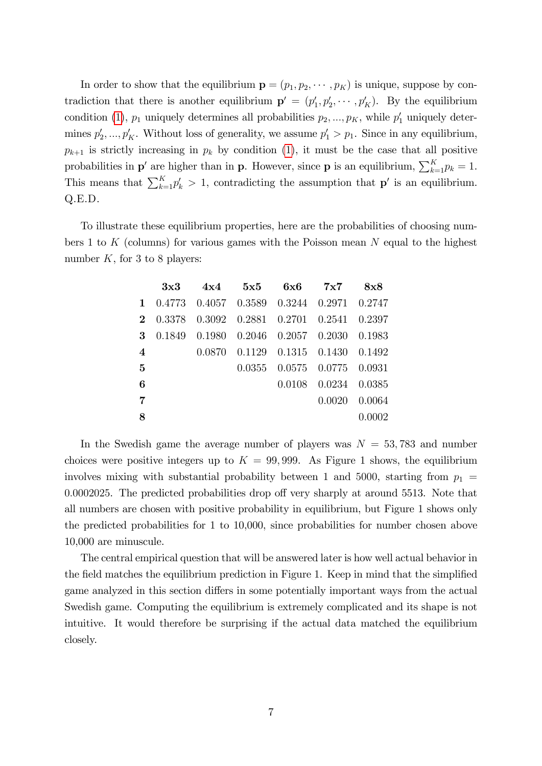In order to show that the equilibrium  $\mathbf{p} = (p_1, p_2, \cdots, p_K)$  is unique, suppose by contradiction that there is another equilibrium  $\mathbf{p}' = (p'_1, p'_2, \cdots, p'_K)$ . By the equilibrium condition [\(1\)](#page-6-0),  $p_1$  uniquely determines all probabilities  $p_2, ..., p_K$ , while  $p'_1$  uniquely determines  $p'_2, ..., p'_K$ . Without loss of generality, we assume  $p'_1 > p_1$ . Since in any equilibrium,  $p_{k+1}$  is strictly increasing in  $p_k$  by condition [\(1\)](#page-6-0), it must be the case that all positive probabilities in  $p'$  are higher than in **p**. However, since **p** is an equilibrium,  $\sum_{k=1}^{K} p_k = 1$ . This means that  $\sum_{k=1}^{K} p'_k > 1$ , contradicting the assumption that **p'** is an equilibrium. Q.E.D.

To illustrate these equilibrium properties, here are the probabilities of choosing numbers 1 to  $K$  (columns) for various games with the Poisson mean  $N$  equal to the highest number  $K$ , for 3 to 8 players:

| 3x3 |  |        |                                                                                                                                                                                                                                                                                |
|-----|--|--------|--------------------------------------------------------------------------------------------------------------------------------------------------------------------------------------------------------------------------------------------------------------------------------|
|     |  |        |                                                                                                                                                                                                                                                                                |
|     |  |        |                                                                                                                                                                                                                                                                                |
|     |  |        |                                                                                                                                                                                                                                                                                |
|     |  |        |                                                                                                                                                                                                                                                                                |
|     |  |        |                                                                                                                                                                                                                                                                                |
|     |  |        |                                                                                                                                                                                                                                                                                |
|     |  | 0.0020 | 0.0064                                                                                                                                                                                                                                                                         |
|     |  |        | 0.0002                                                                                                                                                                                                                                                                         |
|     |  |        | $4x4$ $5x5$ $6x6$ $7x7$ $8x8$<br>1 0.4773 0.4057 0.3589 0.3244 0.2971 0.2747<br>2 0.3378 0.3092 0.2881 0.2701 0.2541 0.2397<br>3 0.1849 0.1980 0.2046 0.2057 0.2030 0.1983<br>0.0870  0.1129  0.1315  0.1430  0.1492<br>0.0355  0.0575  0.0775  0.0931<br>0.0108 0.0234 0.0385 |

In the Swedish game the average number of players was  $N = 53,783$  and number choices were positive integers up to  $K = 99,999$ . As Figure 1 shows, the equilibrium involves mixing with substantial probability between 1 and 5000, starting from  $p_1 =$  $0.0002025$ . The predicted probabilities drop off very sharply at around 5513. Note that all numbers are chosen with positive probability in equilibrium, but Figure 1 shows only the predicted probabilities for 1 to 10,000, since probabilities for number chosen above 10,000 are minuscule.

The central empirical question that will be answered later is how well actual behavior in the field matches the equilibrium prediction in Figure 1. Keep in mind that the simplified game analyzed in this section differs in some potentially important ways from the actual Swedish game. Computing the equilibrium is extremely complicated and its shape is not intuitive. It would therefore be surprising if the actual data matched the equilibrium closely.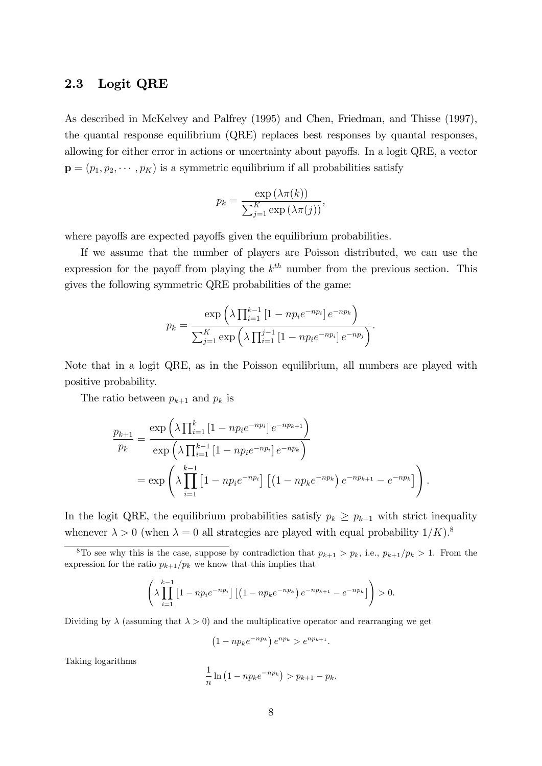#### 2.3 Logit QRE

As described in McKelvey and Palfrey (1995) and Chen, Friedman, and Thisse (1997), the quantal response equilibrium (QRE) replaces best responses by quantal responses, allowing for either error in actions or uncertainty about payoffs. In a logit QRE, a vector  $\mathbf{p} = (p_1, p_2, \cdots, p_K)$  is a symmetric equilibrium if all probabilities satisfy

$$
p_k = \frac{\exp(\lambda \pi(k))}{\sum_{j=1}^K \exp(\lambda \pi(j))},
$$

where payoffs are expected payoffs given the equilibrium probabilities.

If we assume that the number of players are Poisson distributed, we can use the expression for the payoff from playing the  $k^{th}$  number from the previous section. This gives the following symmetric QRE probabilities of the game:

$$
p_k = \frac{\exp\left(\lambda \prod_{i=1}^{k-1} \left[1 - np_i e^{-np_i}\right] e^{-np_k}\right)}{\sum_{j=1}^K \exp\left(\lambda \prod_{i=1}^{j-1} \left[1 - np_i e^{-np_i}\right] e^{-np_j}\right)}.
$$

Note that in a logit QRE, as in the Poisson equilibrium, all numbers are played with positive probability.

The ratio between  $p_{k+1}$  and  $p_k$  is

$$
\frac{p_{k+1}}{p_k} = \frac{\exp\left(\lambda \prod_{i=1}^k \left[1 - np_i e^{-np_i}\right] e^{-np_{k+1}}\right)}{\exp\left(\lambda \prod_{i=1}^{k-1} \left[1 - np_i e^{-np_i}\right] e^{-np_k}\right)}
$$
\n
$$
= \exp\left(\lambda \prod_{i=1}^{k-1} \left[1 - np_i e^{-np_i}\right] \left[\left(1 - np_k e^{-np_k}\right) e^{-np_{k+1}} - e^{-np_k}\right]\right).
$$

In the logit QRE, the equilibrium probabilities satisfy  $p_k \geq p_{k+1}$  with strict inequality whenever  $\lambda > 0$  (when  $\lambda = 0$  all strategies are played with equal probability  $1/K$ ).<sup>8</sup>

<sup>8</sup>To see why this is the case, suppose by contradiction that  $p_{k+1} > p_k$ , i.e.,  $p_{k+1}/p_k > 1$ . From the expression for the ratio  $p_{k+1}/p_k$  we know that this implies that

$$
\left(\lambda \prod_{i=1}^{k-1} \left[1 - np_i e^{-np_i}\right] \left[ \left(1 - np_k e^{-np_k}\right) e^{-np_{k+1}} - e^{-np_k}\right] \right) > 0.
$$

Dividing by  $\lambda$  (assuming that  $\lambda > 0$ ) and the multiplicative operator and rearranging we get

$$
(1 - np_k e^{-np_k}) e^{np_k} > e^{np_{k+1}}.
$$

Taking logarithms

$$
\frac{1}{n}\ln(1 - np_k e^{-np_k}) > p_{k+1} - p_k.
$$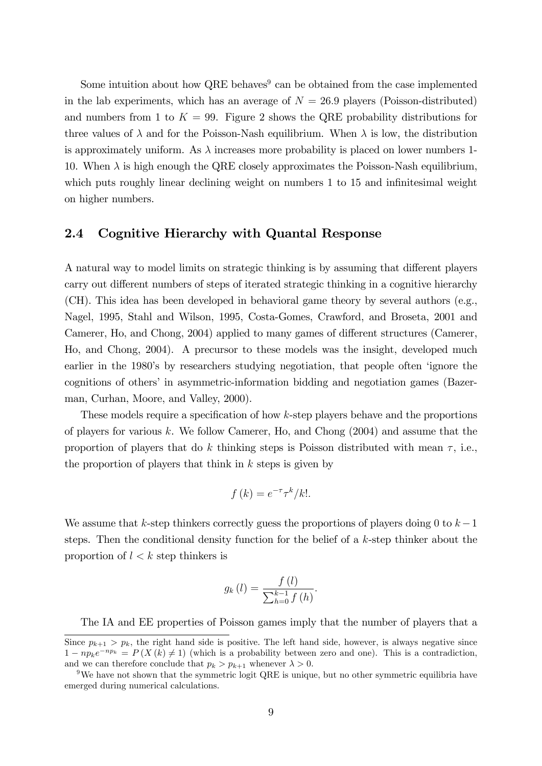Some intuition about how QRE behaves<sup>9</sup> can be obtained from the case implemented in the lab experiments, which has an average of  $N = 26.9$  players (Poisson-distributed) and numbers from 1 to  $K = 99$ . Figure 2 shows the QRE probability distributions for three values of  $\lambda$  and for the Poisson-Nash equilibrium. When  $\lambda$  is low, the distribution is approximately uniform. As  $\lambda$  increases more probability is placed on lower numbers 1-10. When  $\lambda$  is high enough the QRE closely approximates the Poisson-Nash equilibrium, which puts roughly linear declining weight on numbers 1 to 15 and infinitesimal weight on higher numbers.

## 2.4 Cognitive Hierarchy with Quantal Response

A natural way to model limits on strategic thinking is by assuming that different players carry out different numbers of steps of iterated strategic thinking in a cognitive hierarchy (CH). This idea has been developed in behavioral game theory by several authors (e.g., Nagel, 1995, Stahl and Wilson, 1995, Costa-Gomes, Crawford, and Broseta, 2001 and Camerer, Ho, and Chong, 2004) applied to many games of different structures (Camerer, Ho, and Chong, 2004). A precursor to these models was the insight, developed much earlier in the 1980's by researchers studying negotiation, that people often 'ignore the cognitions of others' in asymmetric-information bidding and negotiation games (Bazerman, Curhan, Moore, and Valley, 2000).

These models require a specification of how  $k$ -step players behave and the proportions of players for various k. We follow Camerer, Ho, and Chong  $(2004)$  and assume that the proportion of players that do k thinking steps is Poisson distributed with mean  $\tau$ , i.e., the proportion of players that think in  $k$  steps is given by

$$
f(k) = e^{-\tau} \tau^k / k!.
$$

We assume that k-step thinkers correctly guess the proportions of players doing 0 to  $k-1$ steps. Then the conditional density function for the belief of a k-step thinker about the proportion of  $l < k$  step thinkers is

$$
g_k(l) = \frac{f(l)}{\sum_{h=0}^{k-1} f(h)}.
$$

The IA and EE properties of Poisson games imply that the number of players that a

Since  $p_{k+1} > p_k$ , the right hand side is positive. The left hand side, however, is always negative since  $1 - np_k e^{-np_k} = P(X(k) \neq 1)$  (which is a probability between zero and one). This is a contradiction, and we can therefore conclude that  $p_k > p_{k+1}$  whenever  $\lambda > 0$ .

<sup>9</sup>We have not shown that the symmetric logit QRE is unique, but no other symmetric equilibria have emerged during numerical calculations.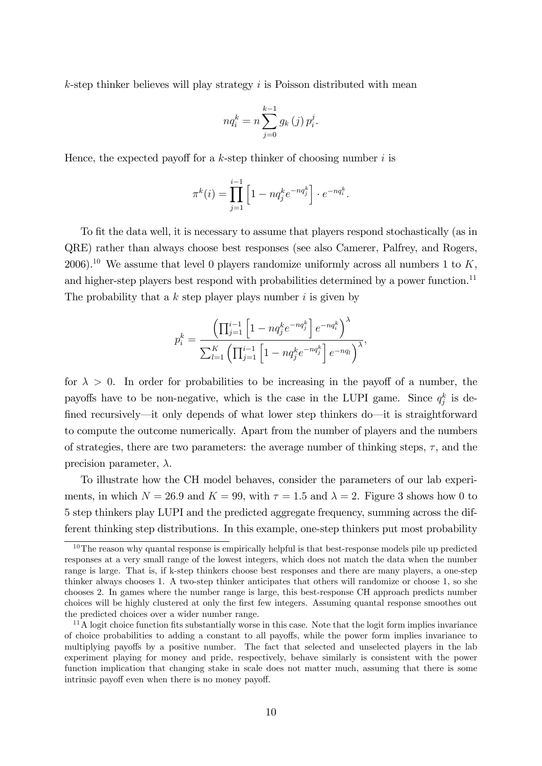$k$ -step thinker believes will play strategy  $i$  is Poisson distributed with mean

$$
n q_i^k = n \sum_{j=0}^{k-1} g_k(j) p_i^j.
$$

Hence, the expected payoff for a k-step thinker of choosing number  $i$  is

$$
\pi^{k}(i) = \prod_{j=1}^{i-1} \left[ 1 - nq_j^{k} e^{-nq_j^{k}} \right] \cdot e^{-nq_i^{k}}.
$$

To fit the data well, it is necessary to assume that players respond stochastically (as in QRE) rather than always choose best responses (see also Camerer, Palfrey, and Rogers, 2006).<sup>10</sup> We assume that level 0 players randomize uniformly across all numbers 1 to K, and higher-step players best respond with probabilities determined by a power function.<sup>11</sup> The probability that a  $k$  step player plays number  $i$  is given by

$$
p_i^k = \frac{\left(\prod_{j=1}^{i-1} \left[1 - n q_j^k e^{-n q_j^k}\right] e^{-n q_i^k}\right)^{\lambda}}{\sum_{l=1}^K \left(\prod_{j=1}^{i-1} \left[1 - n q_j^k e^{-n q_j^k}\right] e^{-n q_l}\right)^{\lambda}},
$$

for  $\lambda > 0$ . In order for probabilities to be increasing in the payoff of a number, the payoffs have to be non-negative, which is the case in the LUPI game. Since  $q_j^k$  is defined recursively—it only depends of what lower step thinkers do—it is straightforward to compute the outcome numerically. Apart from the number of players and the numbers of strategies, there are two parameters: the average number of thinking steps,  $\tau$ , and the precision parameter,  $\lambda$ .

To illustrate how the CH model behaves, consider the parameters of our lab experiments, in which  $N = 26.9$  and  $K = 99$ , with  $\tau = 1.5$  and  $\lambda = 2$ . Figure 3 shows how 0 to 5 step thinkers play LUPI and the predicted aggregate frequency, summing across the different thinking step distributions. In this example, one-step thinkers put most probability

 $10$ The reason why quantal response is empirically helpful is that best-response models pile up predicted responses at a very small range of the lowest integers, which does not match the data when the number range is large. That is, if k-step thinkers choose best responses and there are many players, a one-step thinker always chooses 1. A two-step thinker anticipates that others will randomize or choose 1, so she chooses 2. In games where the number range is large, this best-response CH approach predicts number choices will be highly clustered at only the first few integers. Assuming quantal response smoothes out the predicted choices over a wider number range.

 $11A$  logit choice function fits substantially worse in this case. Note that the logit form implies invariance of choice probabilities to adding a constant to all payo§s, while the power form implies invariance to multiplying payoffs by a positive number. The fact that selected and unselected players in the lab experiment playing for money and pride, respectively, behave similarly is consistent with the power function implication that changing stake in scale does not matter much, assuming that there is some intrinsic payoff even when there is no money payoff.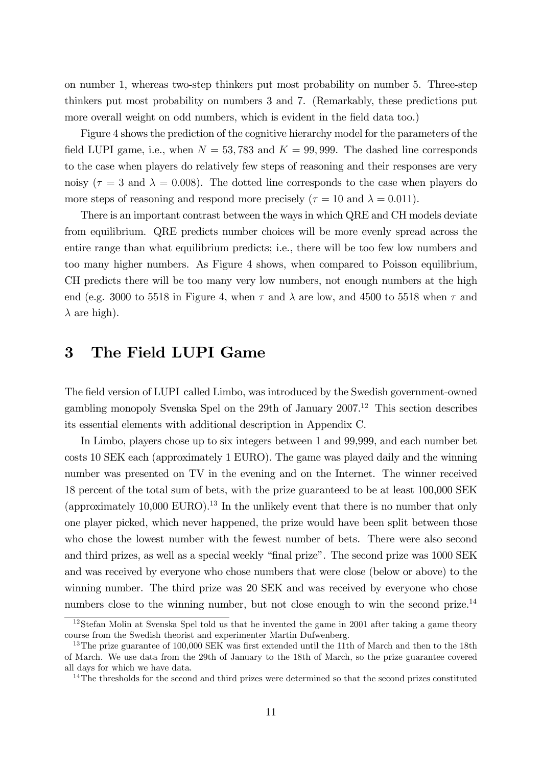on number 1, whereas two-step thinkers put most probability on number 5. Three-step thinkers put most probability on numbers 3 and 7. (Remarkably, these predictions put more overall weight on odd numbers, which is evident in the field data too.)

Figure 4 shows the prediction of the cognitive hierarchy model for the parameters of the field LUPI game, i.e., when  $N = 53,783$  and  $K = 99,999$ . The dashed line corresponds to the case when players do relatively few steps of reasoning and their responses are very noisy ( $\tau = 3$  and  $\lambda = 0.008$ ). The dotted line corresponds to the case when players do more steps of reasoning and respond more precisely ( $\tau = 10$  and  $\lambda = 0.011$ ).

There is an important contrast between the ways in which QRE and CH models deviate from equilibrium. QRE predicts number choices will be more evenly spread across the entire range than what equilibrium predicts; i.e., there will be too few low numbers and too many higher numbers. As Figure 4 shows, when compared to Poisson equilibrium, CH predicts there will be too many very low numbers, not enough numbers at the high end (e.g. 3000 to 5518 in Figure 4, when  $\tau$  and  $\lambda$  are low, and 4500 to 5518 when  $\tau$  and  $\lambda$  are high).

# 3 The Field LUPI Game

The field version of LUPI called Limbo, was introduced by the Swedish government-owned gambling monopoly Svenska Spel on the 29th of January  $2007<sup>12</sup>$  This section describes its essential elements with additional description in Appendix C.

In Limbo, players chose up to six integers between 1 and 99,999, and each number bet costs 10 SEK each (approximately 1 EURO). The game was played daily and the winning number was presented on TV in the evening and on the Internet. The winner received 18 percent of the total sum of bets, with the prize guaranteed to be at least 100,000 SEK (approximately  $10,000$  EURO).<sup>13</sup> In the unlikely event that there is no number that only one player picked, which never happened, the prize would have been split between those who chose the lowest number with the fewest number of bets. There were also second and third prizes, as well as a special weekly "final prize". The second prize was 1000 SEK and was received by everyone who chose numbers that were close (below or above) to the winning number. The third prize was 20 SEK and was received by everyone who chose numbers close to the winning number, but not close enough to win the second prize.<sup>14</sup>

<sup>&</sup>lt;sup>12</sup>Stefan Molin at Svenska Spel told us that he invented the game in 2001 after taking a game theory course from the Swedish theorist and experimenter Martin Dufwenberg.

<sup>&</sup>lt;sup>13</sup>The prize guarantee of 100,000 SEK was first extended until the 11th of March and then to the 18th of March. We use data from the 29th of January to the 18th of March, so the prize guarantee covered all days for which we have data.

<sup>&</sup>lt;sup>14</sup>The thresholds for the second and third prizes were determined so that the second prizes constituted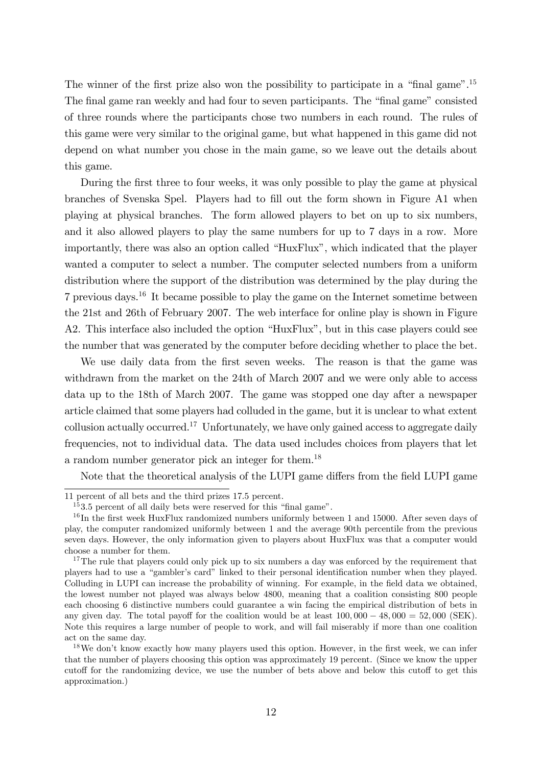The winner of the first prize also won the possibility to participate in a "final game".<sup>15</sup> The final game ran weekly and had four to seven participants. The "final game" consisted of three rounds where the participants chose two numbers in each round. The rules of this game were very similar to the original game, but what happened in this game did not depend on what number you chose in the main game, so we leave out the details about this game.

During the first three to four weeks, it was only possible to play the game at physical branches of Svenska Spel. Players had to Öll out the form shown in Figure A1 when playing at physical branches. The form allowed players to bet on up to six numbers, and it also allowed players to play the same numbers for up to 7 days in a row. More importantly, there was also an option called "HuxFlux", which indicated that the player wanted a computer to select a number. The computer selected numbers from a uniform distribution where the support of the distribution was determined by the play during the 7 previous days.<sup>16</sup> It became possible to play the game on the Internet sometime between the 21st and 26th of February 2007. The web interface for online play is shown in Figure A2. This interface also included the option "HuxFlux", but in this case players could see the number that was generated by the computer before deciding whether to place the bet.

We use daily data from the first seven weeks. The reason is that the game was withdrawn from the market on the 24th of March 2007 and we were only able to access data up to the 18th of March 2007. The game was stopped one day after a newspaper article claimed that some players had colluded in the game, but it is unclear to what extent collusion actually occurred.<sup>17</sup> Unfortunately, we have only gained access to aggregate daily frequencies, not to individual data. The data used includes choices from players that let a random number generator pick an integer for them.<sup>18</sup>

Note that the theoretical analysis of the LUPI game differs from the field LUPI game

<sup>11</sup> percent of all bets and the third prizes 17.5 percent.

 $153.5$  percent of all daily bets were reserved for this "final game".

<sup>&</sup>lt;sup>16</sup>In the first week HuxFlux randomized numbers uniformly between 1 and 15000. After seven days of play, the computer randomized uniformly between 1 and the average 90th percentile from the previous seven days. However, the only information given to players about HuxFlux was that a computer would choose a number for them.

<sup>&</sup>lt;sup>17</sup>The rule that players could only pick up to six numbers a day was enforced by the requirement that players had to use a "gambler's card" linked to their personal identification number when they played. Colluding in LUPI can increase the probability of winning. For example, in the field data we obtained, the lowest number not played was always below 4800, meaning that a coalition consisting 800 people each choosing 6 distinctive numbers could guarantee a win facing the empirical distribution of bets in any given day. The total payoff for the coalition would be at least  $100,000 - 48,000 = 52,000$  (SEK). Note this requires a large number of people to work, and will fail miserably if more than one coalition act on the same day.

<sup>&</sup>lt;sup>18</sup>We don't know exactly how many players used this option. However, in the first week, we can infer that the number of players choosing this option was approximately 19 percent. (Since we know the upper cutoff for the randomizing device, we use the number of bets above and below this cutoff to get this approximation.)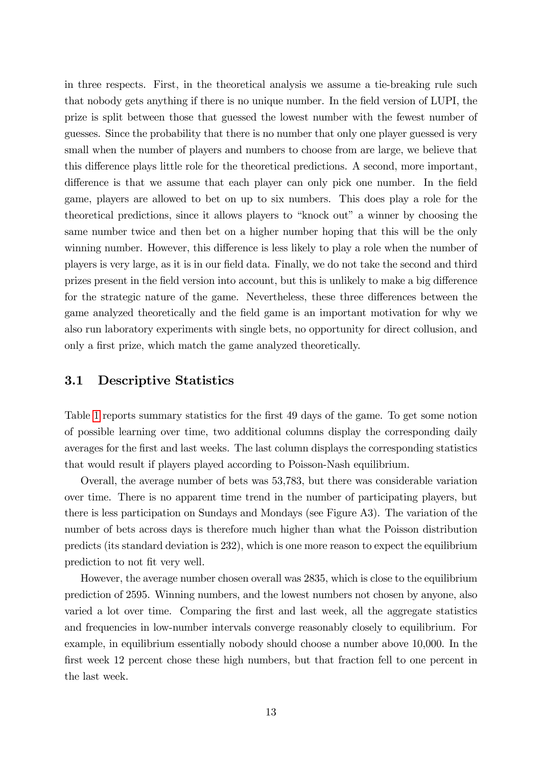in three respects. First, in the theoretical analysis we assume a tie-breaking rule such that nobody gets anything if there is no unique number. In the field version of LUPI, the prize is split between those that guessed the lowest number with the fewest number of guesses. Since the probability that there is no number that only one player guessed is very small when the number of players and numbers to choose from are large, we believe that this difference plays little role for the theoretical predictions. A second, more important, difference is that we assume that each player can only pick one number. In the field game, players are allowed to bet on up to six numbers. This does play a role for the theoretical predictions, since it allows players to "knock out" a winner by choosing the same number twice and then bet on a higher number hoping that this will be the only winning number. However, this difference is less likely to play a role when the number of players is very large, as it is in our field data. Finally, we do not take the second and third prizes present in the field version into account, but this is unlikely to make a big difference for the strategic nature of the game. Nevertheless, these three differences between the game analyzed theoretically and the Öeld game is an important motivation for why we also run laboratory experiments with single bets, no opportunity for direct collusion, and only a first prize, which match the game analyzed theoretically.

## 3.1 Descriptive Statistics

Table [1](#page-15-0) reports summary statistics for the first 49 days of the game. To get some notion of possible learning over time, two additional columns display the corresponding daily averages for the first and last weeks. The last column displays the corresponding statistics that would result if players played according to Poisson-Nash equilibrium.

Overall, the average number of bets was 53,783, but there was considerable variation over time. There is no apparent time trend in the number of participating players, but there is less participation on Sundays and Mondays (see Figure A3). The variation of the number of bets across days is therefore much higher than what the Poisson distribution predicts (its standard deviation is 232), which is one more reason to expect the equilibrium prediction to not fit very well.

However, the average number chosen overall was 2835, which is close to the equilibrium prediction of 2595. Winning numbers, and the lowest numbers not chosen by anyone, also varied a lot over time. Comparing the first and last week, all the aggregate statistics and frequencies in low-number intervals converge reasonably closely to equilibrium. For example, in equilibrium essentially nobody should choose a number above 10,000. In the first week 12 percent chose these high numbers, but that fraction fell to one percent in the last week.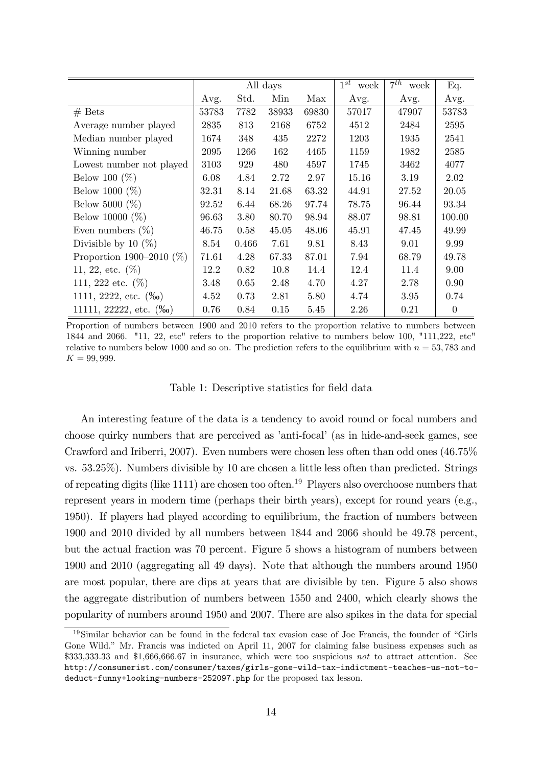<span id="page-15-0"></span>

|                                       |       |       | All days |       | $1^{st}$<br>week | $7^{th}$<br>week | Eq.      |
|---------------------------------------|-------|-------|----------|-------|------------------|------------------|----------|
|                                       | Avg.  | Std.  | Min      | Max   | Avg.             | Avg.             | Avg.     |
| $#$ Bets                              | 53783 | 7782  | 38933    | 69830 | 57017            | 47907            | 53783    |
| Average number played                 | 2835  | 813   | 2168     | 6752  | 4512             | 2484             | 2595     |
| Median number played                  | 1674  | 348   | 435      | 2272  | 1203             | 1935             | 2541     |
| Winning number                        | 2095  | 1266  | 162      | 4465  | 1159             | 1982             | 2585     |
| Lowest number not played              | 3103  | 929   | 480      | 4597  | 1745             | 3462             | 4077     |
| Below 100 $(\%)$                      | 6.08  | 4.84  | 2.72     | 2.97  | 15.16            | 3.19             | 2.02     |
| Below 1000 $(\%)$                     | 32.31 | 8.14  | 21.68    | 63.32 | 44.91            | 27.52            | 20.05    |
| Below 5000 $(\%)$                     | 92.52 | 6.44  | 68.26    | 97.74 | 78.75            | 96.44            | 93.34    |
| Below 10000 $(\%)$                    | 96.63 | 3.80  | 80.70    | 98.94 | 88.07            | 98.81            | 100.00   |
| Even numbers $(\%)$                   | 46.75 | 0.58  | 45.05    | 48.06 | 45.91            | 47.45            | 49.99    |
| Divisible by 10 $(\%)$                | 8.54  | 0.466 | 7.61     | 9.81  | 8.43             | 9.01             | 9.99     |
| Proportion 1900–2010 $(\%)$           | 71.61 | 4.28  | 67.33    | 87.01 | 7.94             | 68.79            | 49.78    |
| 11, 22, etc. $(\%)$                   | 12.2  | 0.82  | 10.8     | 14.4  | 12.4             | 11.4             | 9.00     |
| 111, 222 etc. $(\%)$                  | 3.48  | 0.65  | 2.48     | 4.70  | 4.27             | 2.78             | 0.90     |
| 1111, 2222, etc. $(\%$ <sup>o</sup>   | 4.52  | 0.73  | 2.81     | 5.80  | 4.74             | 3.95             | 0.74     |
| 11111, 22222, etc. $(\%$ <sup>o</sup> | 0.76  | 0.84  | 0.15     | 5.45  | 2.26             | 0.21             | $\theta$ |

Proportion of numbers between 1900 and 2010 refers to the proportion relative to numbers between 1844 and 2066. "11, 22, etc" refers to the proportion relative to numbers below 100, "111,222, etc" relative to numbers below 1000 and so on. The prediction refers to the equilibrium with  $n = 53,783$  and  $K = 99,999.$ 

#### Table 1: Descriptive statistics for field data

An interesting feature of the data is a tendency to avoid round or focal numbers and choose quirky numbers that are perceived as 'anti-focal' (as in hide-and-seek games, see Crawford and Iriberri, 2007). Even numbers were chosen less often than odd ones (46.75% vs. 53.25%). Numbers divisible by 10 are chosen a little less often than predicted. Strings of repeating digits (like 1111) are chosen too often.<sup>19</sup> Players also overchoose numbers that represent years in modern time (perhaps their birth years), except for round years (e.g., 1950). If players had played according to equilibrium, the fraction of numbers between 1900 and 2010 divided by all numbers between 1844 and 2066 should be 49.78 percent, but the actual fraction was 70 percent. Figure 5 shows a histogram of numbers between 1900 and 2010 (aggregating all 49 days). Note that although the numbers around 1950 are most popular, there are dips at years that are divisible by ten. Figure 5 also shows the aggregate distribution of numbers between 1550 and 2400, which clearly shows the popularity of numbers around 1950 and 2007. There are also spikes in the data for special

 $19\,\mathrm{Similar}$  behavior can be found in the federal tax evasion case of Joe Francis, the founder of "Girls" Gone Wild." Mr. Francis was indicted on April 11, 2007 for claiming false business expenses such as \$333,333.33 and \$1,666,666.67 in insurance, which were too suspicious not to attract attention. See http://consumerist.com/consumer/taxes/girls-gone-wild-tax-indictment-teaches-us-not-todeduct-funny+looking-numbers-252097.php for the proposed tax lesson.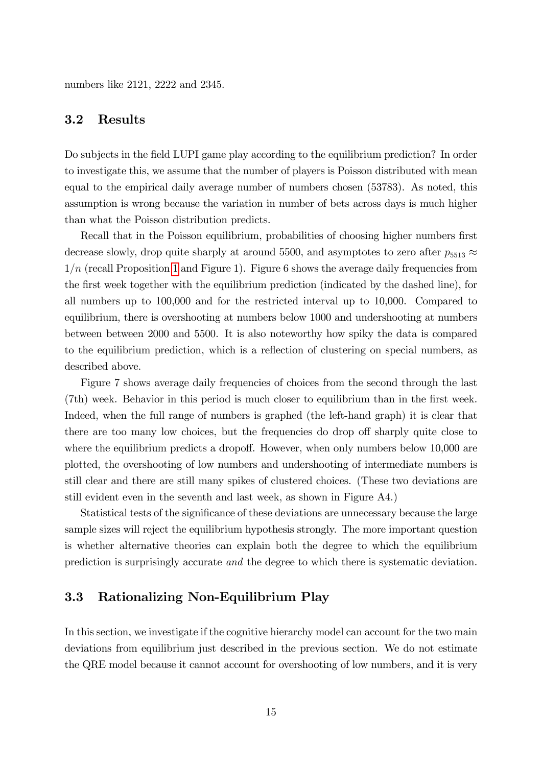numbers like 2121, 2222 and 2345.

#### 3.2 Results

Do subjects in the field LUPI game play according to the equilibrium prediction? In order to investigate this, we assume that the number of players is Poisson distributed with mean equal to the empirical daily average number of numbers chosen (53783). As noted, this assumption is wrong because the variation in number of bets across days is much higher than what the Poisson distribution predicts.

Recall that in the Poisson equilibrium, probabilities of choosing higher numbers first decrease slowly, drop quite sharply at around 5500, and asymptotes to zero after  $p_{5513} \approx$  $1/n$  (recall Proposition [1](#page-6-1) and Figure 1). Figure 6 shows the average daily frequencies from the first week together with the equilibrium prediction (indicated by the dashed line), for all numbers up to 100,000 and for the restricted interval up to 10,000. Compared to equilibrium, there is overshooting at numbers below 1000 and undershooting at numbers between between 2000 and 5500. It is also noteworthy how spiky the data is compared to the equilibrium prediction, which is a reflection of clustering on special numbers, as described above.

Figure 7 shows average daily frequencies of choices from the second through the last (7th) week. Behavior in this period is much closer to equilibrium than in the first week. Indeed, when the full range of numbers is graphed (the left-hand graph) it is clear that there are too many low choices, but the frequencies do drop off sharply quite close to where the equilibrium predicts a dropoff. However, when only numbers below  $10,000$  are plotted, the overshooting of low numbers and undershooting of intermediate numbers is still clear and there are still many spikes of clustered choices. (These two deviations are still evident even in the seventh and last week, as shown in Figure A4.)

Statistical tests of the significance of these deviations are unnecessary because the large sample sizes will reject the equilibrium hypothesis strongly. The more important question is whether alternative theories can explain both the degree to which the equilibrium prediction is surprisingly accurate and the degree to which there is systematic deviation.

## 3.3 Rationalizing Non-Equilibrium Play

In this section, we investigate if the cognitive hierarchy model can account for the two main deviations from equilibrium just described in the previous section. We do not estimate the QRE model because it cannot account for overshooting of low numbers, and it is very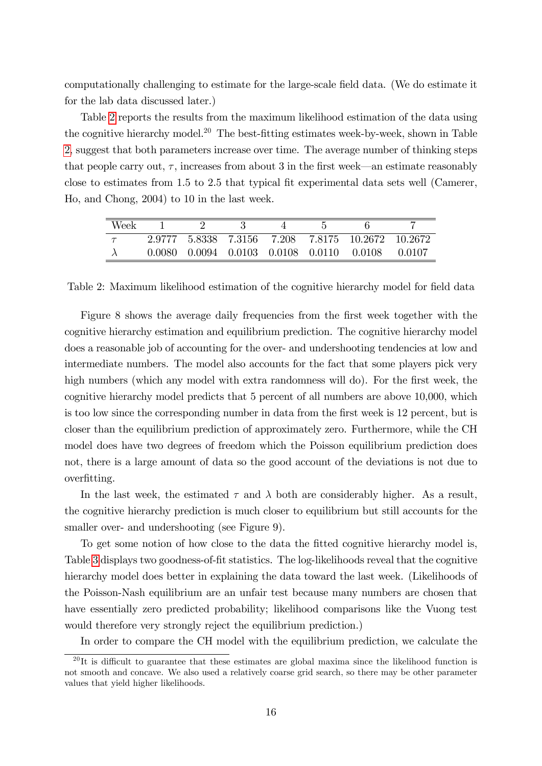computationally challenging to estimate for the large-scale field data. (We do estimate it for the lab data discussed later.)

Table [2](#page-17-0) reports the results from the maximum likelihood estimation of the data using the cognitive hierarchy model.<sup>20</sup> The best-fitting estimates week-by-week, shown in Table [2,](#page-17-0) suggest that both parameters increase over time. The average number of thinking steps that people carry out,  $\tau$ , increases from about 3 in the first week—an estimate reasonably close to estimates from 1.5 to 2.5 that typical Öt experimental data sets well (Camerer, Ho, and Chong, 2004) to 10 in the last week.

<span id="page-17-0"></span>

| Week |  |  |                                                   |         |
|------|--|--|---------------------------------------------------|---------|
|      |  |  | 2.9777 5.8338 7.3156 7.208 7.8175 10.2672 10.2672 |         |
|      |  |  | 0.0080 0.0094 0.0103 0.0108 0.0110 0.0108         | -0.0107 |

Table 2: Maximum likelihood estimation of the cognitive hierarchy model for field data

Figure 8 shows the average daily frequencies from the first week together with the cognitive hierarchy estimation and equilibrium prediction. The cognitive hierarchy model does a reasonable job of accounting for the over- and undershooting tendencies at low and intermediate numbers. The model also accounts for the fact that some players pick very high numbers (which any model with extra randomness will do). For the first week, the cognitive hierarchy model predicts that 5 percent of all numbers are above 10,000, which is too low since the corresponding number in data from the first week is 12 percent, but is closer than the equilibrium prediction of approximately zero. Furthermore, while the CH model does have two degrees of freedom which the Poisson equilibrium prediction does not, there is a large amount of data so the good account of the deviations is not due to overfitting.

In the last week, the estimated  $\tau$  and  $\lambda$  both are considerably higher. As a result, the cognitive hierarchy prediction is much closer to equilibrium but still accounts for the smaller over- and undershooting (see Figure 9).

To get some notion of how close to the data the Ötted cognitive hierarchy model is, Table [3](#page-18-0) displays two goodness-of-fit statistics. The log-likelihoods reveal that the cognitive hierarchy model does better in explaining the data toward the last week. (Likelihoods of the Poisson-Nash equilibrium are an unfair test because many numbers are chosen that have essentially zero predicted probability; likelihood comparisons like the Vuong test would therefore very strongly reject the equilibrium prediction.)

In order to compare the CH model with the equilibrium prediction, we calculate the

<sup>&</sup>lt;sup>20</sup>It is difficult to guarantee that these estimates are global maxima since the likelihood function is not smooth and concave. We also used a relatively coarse grid search, so there may be other parameter values that yield higher likelihoods.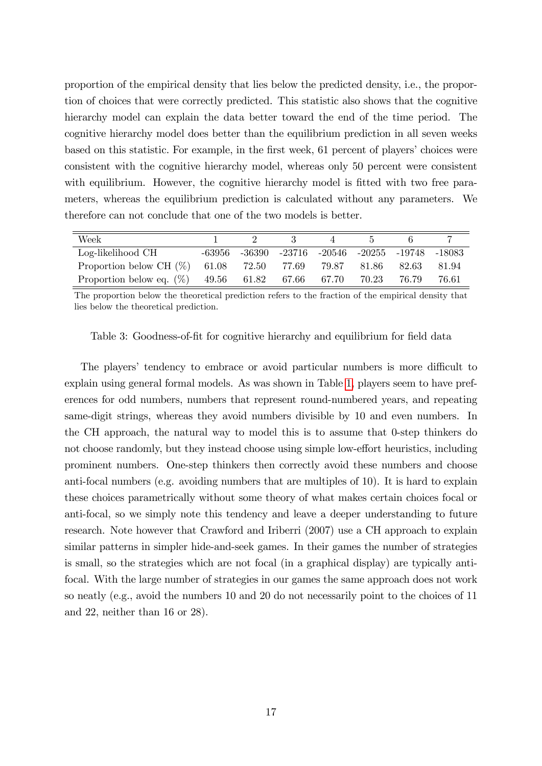proportion of the empirical density that lies below the predicted density, i.e., the proportion of choices that were correctly predicted. This statistic also shows that the cognitive hierarchy model can explain the data better toward the end of the time period. The cognitive hierarchy model does better than the equilibrium prediction in all seven weeks based on this statistic. For example, in the first week, 61 percent of players' choices were consistent with the cognitive hierarchy model, whereas only 50 percent were consistent with equilibrium. However, the cognitive hierarchy model is fitted with two free parameters, whereas the equilibrium prediction is calculated without any parameters. We therefore can not conclude that one of the two models is better.

<span id="page-18-0"></span>

| Week                                                      |         |                                                       |  |        |        |
|-----------------------------------------------------------|---------|-------------------------------------------------------|--|--------|--------|
| Log-likelihood CH                                         | -63956- | $-36390$ $-23716$ $-20546$ $-20255$ $-19748$ $-18083$ |  |        |        |
| Proportion below CH (%) 61.08 72.50 77.69 79.87 81.86     |         |                                                       |  | -82.63 | -81.94 |
| Proportion below eq. $(\%)$ 49.56 61.82 67.66 67.70 70.23 |         |                                                       |  | 76.79  | 76.61  |

The proportion below the theoretical prediction refers to the fraction of the empirical density that lies below the theoretical prediction.

Table 3: Goodness-of-fit for cognitive hierarchy and equilibrium for field data

The players' tendency to embrace or avoid particular numbers is more difficult to explain using general formal models. As was shown in Table [1,](#page-15-0) players seem to have preferences for odd numbers, numbers that represent round-numbered years, and repeating same-digit strings, whereas they avoid numbers divisible by 10 and even numbers. In the CH approach, the natural way to model this is to assume that 0-step thinkers do not choose randomly, but they instead choose using simple low-effort heuristics, including prominent numbers. One-step thinkers then correctly avoid these numbers and choose anti-focal numbers (e.g. avoiding numbers that are multiples of 10). It is hard to explain these choices parametrically without some theory of what makes certain choices focal or anti-focal, so we simply note this tendency and leave a deeper understanding to future research. Note however that Crawford and Iriberri (2007) use a CH approach to explain similar patterns in simpler hide-and-seek games. In their games the number of strategies is small, so the strategies which are not focal (in a graphical display) are typically antifocal. With the large number of strategies in our games the same approach does not work so neatly (e.g., avoid the numbers 10 and 20 do not necessarily point to the choices of 11 and 22, neither than 16 or 28).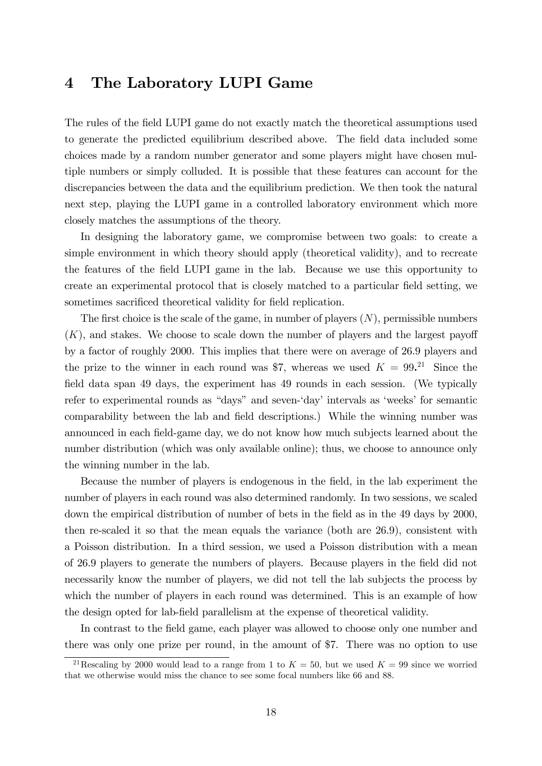# 4 The Laboratory LUPI Game

The rules of the field LUPI game do not exactly match the theoretical assumptions used to generate the predicted equilibrium described above. The field data included some choices made by a random number generator and some players might have chosen multiple numbers or simply colluded. It is possible that these features can account for the discrepancies between the data and the equilibrium prediction. We then took the natural next step, playing the LUPI game in a controlled laboratory environment which more closely matches the assumptions of the theory.

In designing the laboratory game, we compromise between two goals: to create a simple environment in which theory should apply (theoretical validity), and to recreate the features of the Öeld LUPI game in the lab. Because we use this opportunity to create an experimental protocol that is closely matched to a particular Öeld setting, we sometimes sacrificed theoretical validity for field replication.

The first choice is the scale of the game, in number of players  $(N)$ , permissible numbers  $(K)$ , and stakes. We choose to scale down the number of players and the largest payoff by a factor of roughly 2000. This implies that there were on average of 26.9 players and the prize to the winner in each round was \$7, whereas we used  $K = 99.^{21}$ . Since the field data span 49 days, the experiment has 49 rounds in each session. (We typically refer to experimental rounds as "days" and seven-'day' intervals as 'weeks' for semantic comparability between the lab and field descriptions.) While the winning number was announced in each field-game day, we do not know how much subjects learned about the number distribution (which was only available online); thus, we choose to announce only the winning number in the lab.

Because the number of players is endogenous in the field, in the lab experiment the number of players in each round was also determined randomly. In two sessions, we scaled down the empirical distribution of number of bets in the field as in the 49 days by 2000, then re-scaled it so that the mean equals the variance (both are 26.9), consistent with a Poisson distribution. In a third session, we used a Poisson distribution with a mean of 26.9 players to generate the numbers of players. Because players in the field did not necessarily know the number of players, we did not tell the lab subjects the process by which the number of players in each round was determined. This is an example of how the design opted for lab-Öeld parallelism at the expense of theoretical validity.

In contrast to the field game, each player was allowed to choose only one number and there was only one prize per round, in the amount of \$7. There was no option to use

<sup>&</sup>lt;sup>21</sup>Rescaling by 2000 would lead to a range from 1 to  $K = 50$ , but we used  $K = 99$  since we worried that we otherwise would miss the chance to see some focal numbers like 66 and 88.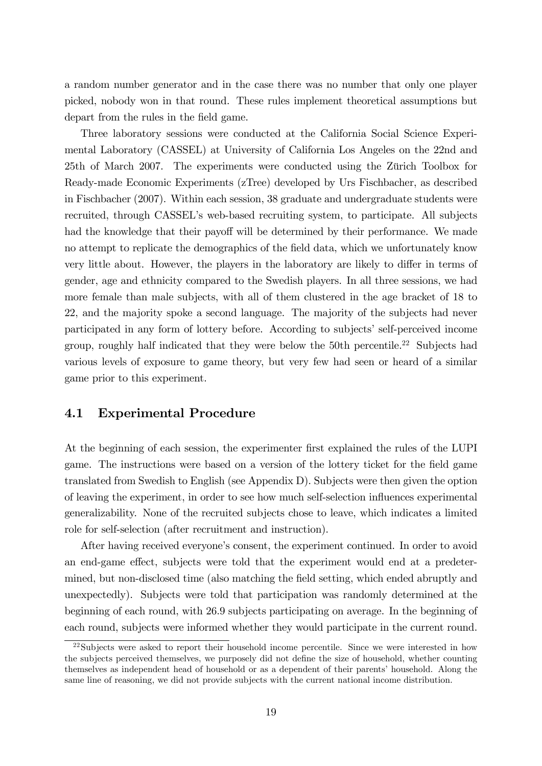a random number generator and in the case there was no number that only one player picked, nobody won in that round. These rules implement theoretical assumptions but depart from the rules in the field game.

Three laboratory sessions were conducted at the California Social Science Experimental Laboratory (CASSEL) at University of California Los Angeles on the 22nd and 25th of March 2007. The experiments were conducted using the Zürich Toolbox for Ready-made Economic Experiments (zTree) developed by Urs Fischbacher, as described in Fischbacher (2007). Within each session, 38 graduate and undergraduate students were recruited, through CASSELís web-based recruiting system, to participate. All subjects had the knowledge that their payoff will be determined by their performance. We made no attempt to replicate the demographics of the Öeld data, which we unfortunately know very little about. However, the players in the laboratory are likely to differ in terms of gender, age and ethnicity compared to the Swedish players. In all three sessions, we had more female than male subjects, with all of them clustered in the age bracket of 18 to 22, and the majority spoke a second language. The majority of the subjects had never participated in any form of lottery before. According to subjects' self-perceived income group, roughly half indicated that they were below the 50th percentile.<sup>22</sup> Subjects had various levels of exposure to game theory, but very few had seen or heard of a similar game prior to this experiment.

## 4.1 Experimental Procedure

At the beginning of each session, the experimenter first explained the rules of the LUPI game. The instructions were based on a version of the lottery ticket for the field game translated from Swedish to English (see Appendix D). Subjects were then given the option of leaving the experiment, in order to see how much self-selection ináuences experimental generalizability. None of the recruited subjects chose to leave, which indicates a limited role for self-selection (after recruitment and instruction).

After having received everyone's consent, the experiment continued. In order to avoid an end-game effect, subjects were told that the experiment would end at a predetermined, but non-disclosed time (also matching the field setting, which ended abruptly and unexpectedly). Subjects were told that participation was randomly determined at the beginning of each round, with 26.9 subjects participating on average. In the beginning of each round, subjects were informed whether they would participate in the current round.

<sup>&</sup>lt;sup>22</sup>Subjects were asked to report their household income percentile. Since we were interested in how the subjects perceived themselves, we purposely did not define the size of household, whether counting themselves as independent head of household or as a dependent of their parents' household. Along the same line of reasoning, we did not provide subjects with the current national income distribution.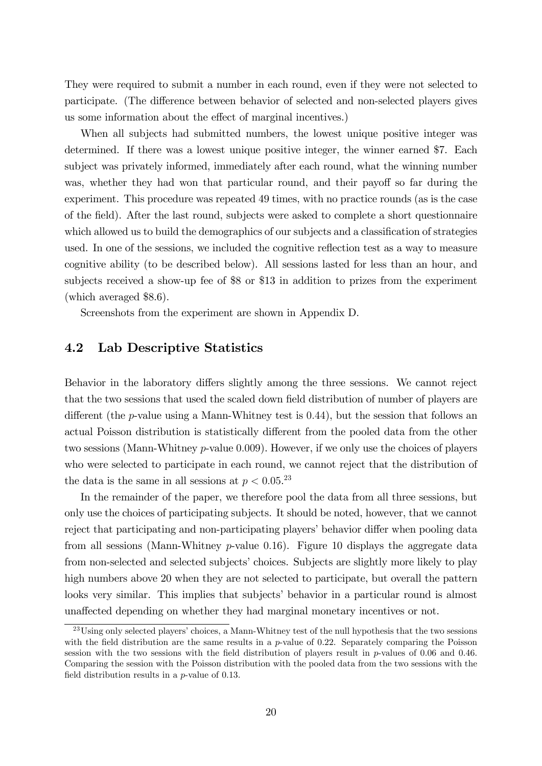They were required to submit a number in each round, even if they were not selected to participate. (The difference between behavior of selected and non-selected players gives us some information about the effect of marginal incentives.)

When all subjects had submitted numbers, the lowest unique positive integer was determined. If there was a lowest unique positive integer, the winner earned \$7. Each subject was privately informed, immediately after each round, what the winning number was, whether they had won that particular round, and their payoff so far during the experiment. This procedure was repeated 49 times, with no practice rounds (as is the case of the Öeld). After the last round, subjects were asked to complete a short questionnaire which allowed us to build the demographics of our subjects and a classification of strategies used. In one of the sessions, we included the cognitive reflection test as a way to measure cognitive ability (to be described below). All sessions lasted for less than an hour, and subjects received a show-up fee of \$8 or \$13 in addition to prizes from the experiment (which averaged \$8.6).

Screenshots from the experiment are shown in Appendix D.

## 4.2 Lab Descriptive Statistics

Behavior in the laboratory differs slightly among the three sessions. We cannot reject that the two sessions that used the scaled down field distribution of number of players are different (the p-value using a Mann-Whitney test is  $(0.44)$ ), but the session that follows an actual Poisson distribution is statistically different from the pooled data from the other two sessions (Mann-Whitney p-value 0:009). However, if we only use the choices of players who were selected to participate in each round, we cannot reject that the distribution of the data is the same in all sessions at  $p < 0.05$ <sup>23</sup>

In the remainder of the paper, we therefore pool the data from all three sessions, but only use the choices of participating subjects. It should be noted, however, that we cannot reject that participating and non-participating players' behavior differ when pooling data from all sessions (Mann-Whitney  $p$ -value 0.16). Figure 10 displays the aggregate data from non-selected and selected subjects' choices. Subjects are slightly more likely to play high numbers above 20 when they are not selected to participate, but overall the pattern looks very similar. This implies that subjects' behavior in a particular round is almost unaffected depending on whether they had marginal monetary incentives or not.

<sup>&</sup>lt;sup>23</sup>Using only selected players' choices, a Mann-Whitney test of the null hypothesis that the two sessions with the field distribution are the same results in a  $p$ -value of 0.22. Separately comparing the Poisson session with the two sessions with the field distribution of players result in  $p$ -values of 0.06 and 0.46. Comparing the session with the Poisson distribution with the pooled data from the two sessions with the field distribution results in a  $p$ -value of 0.13.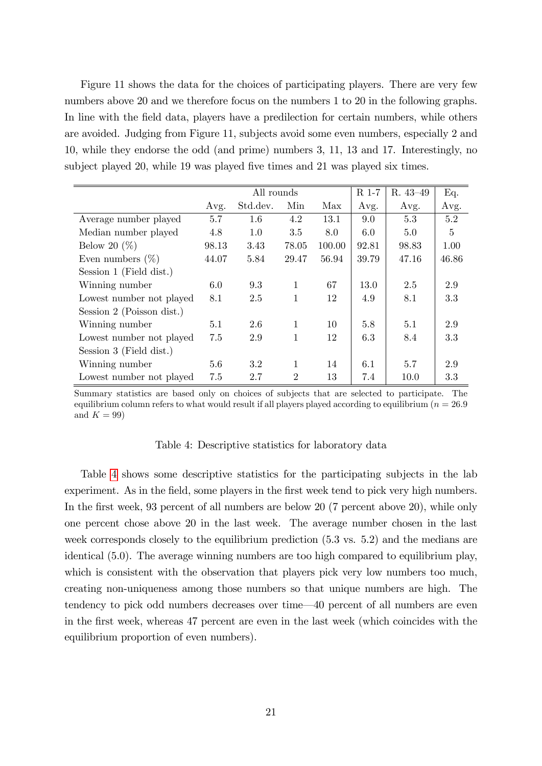Figure 11 shows the data for the choices of participating players. There are very few numbers above 20 and we therefore focus on the numbers 1 to 20 in the following graphs. In line with the field data, players have a predilection for certain numbers, while others are avoided. Judging from Figure 11, subjects avoid some even numbers, especially 2 and 10, while they endorse the odd (and prime) numbers 3, 11, 13 and 17. Interestingly, no subject played 20, while 19 was played five times and 21 was played six times.

<span id="page-22-0"></span>

|                           |       | All rounds |              |        | R 1-7 | R. 43-49 | Eq.   |
|---------------------------|-------|------------|--------------|--------|-------|----------|-------|
|                           | Avg.  | Std.dev.   | Min          | Max    | Avg.  | Avg.     | Avg.  |
| Average number played     | 5.7   | 1.6        | 4.2          | 13.1   | 9.0   | 5.3      | 5.2   |
| Median number played      | 4.8   | 1.0        | 3.5          | 8.0    | 6.0   | 5.0      | 5     |
| Below 20 $(\%)$           | 98.13 | 3.43       | 78.05        | 100.00 | 92.81 | 98.83    | 1.00  |
| Even numbers $(\%)$       | 44.07 | 5.84       | 29.47        | 56.94  | 39.79 | 47.16    | 46.86 |
| Session 1 (Field dist.)   |       |            |              |        |       |          |       |
| Winning number            | 6.0   | 9.3        | $\mathbf{1}$ | 67     | 13.0  | 2.5      | 2.9   |
| Lowest number not played  | 8.1   | 2.5        | 1            | 12     | 4.9   | 8.1      | 3.3   |
| Session 2 (Poisson dist.) |       |            |              |        |       |          |       |
| Winning number            | 5.1   | 2.6        | 1            | 10     | 5.8   | 5.1      | 2.9   |
| Lowest number not played  | 7.5   | 2.9        | 1            | 12     | 6.3   | 8.4      | 3.3   |
| Session 3 (Field dist.)   |       |            |              |        |       |          |       |
| Winning number            | 5.6   | 3.2        | 1            | 14     | 6.1   | 5.7      | 2.9   |
| Lowest number not played  | 7.5   | 2.7        | 2            | 13     | 7.4   | 10.0     | 3.3   |

Summary statistics are based only on choices of subjects that are selected to participate. The equilibrium column refers to what would result if all players played according to equilibrium ( $n = 26.9$ ) and  $K = 99$ )

#### Table 4: Descriptive statistics for laboratory data

Table [4](#page-22-0) shows some descriptive statistics for the participating subjects in the lab experiment. As in the field, some players in the first week tend to pick very high numbers. In the first week, 93 percent of all numbers are below 20 (7 percent above 20), while only one percent chose above 20 in the last week. The average number chosen in the last week corresponds closely to the equilibrium prediction (5.3 vs. 5.2) and the medians are identical (5.0). The average winning numbers are too high compared to equilibrium play, which is consistent with the observation that players pick very low numbers too much, creating non-uniqueness among those numbers so that unique numbers are high. The tendency to pick odd numbers decreases over time  $-40$  percent of all numbers are even in the first week, whereas 47 percent are even in the last week (which coincides with the equilibrium proportion of even numbers).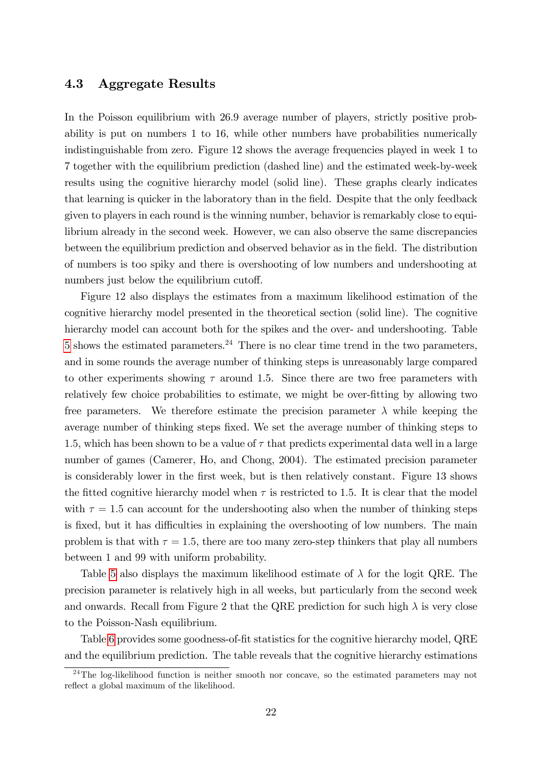### 4.3 Aggregate Results

In the Poisson equilibrium with 26.9 average number of players, strictly positive probability is put on numbers 1 to 16, while other numbers have probabilities numerically indistinguishable from zero. Figure 12 shows the average frequencies played in week 1 to 7 together with the equilibrium prediction (dashed line) and the estimated week-by-week results using the cognitive hierarchy model (solid line). These graphs clearly indicates that learning is quicker in the laboratory than in the Öeld. Despite that the only feedback given to players in each round is the winning number, behavior is remarkably close to equilibrium already in the second week. However, we can also observe the same discrepancies between the equilibrium prediction and observed behavior as in the Öeld. The distribution of numbers is too spiky and there is overshooting of low numbers and undershooting at numbers just below the equilibrium cutoff.

Figure 12 also displays the estimates from a maximum likelihood estimation of the cognitive hierarchy model presented in the theoretical section (solid line). The cognitive hierarchy model can account both for the spikes and the over- and undershooting. Table [5](#page-24-0) shows the estimated parameters.<sup>24</sup> There is no clear time trend in the two parameters, and in some rounds the average number of thinking steps is unreasonably large compared to other experiments showing  $\tau$  around 1.5. Since there are two free parameters with relatively few choice probabilities to estimate, we might be over-fitting by allowing two free parameters. We therefore estimate the precision parameter  $\lambda$  while keeping the average number of thinking steps fixed. We set the average number of thinking steps to 1.5, which has been shown to be a value of  $\tau$  that predicts experimental data well in a large number of games (Camerer, Ho, and Chong, 2004). The estimated precision parameter is considerably lower in the first week, but is then relatively constant. Figure 13 shows the fitted cognitive hierarchy model when  $\tau$  is restricted to 1.5. It is clear that the model with  $\tau = 1.5$  can account for the undershooting also when the number of thinking steps is fixed, but it has difficulties in explaining the overshooting of low numbers. The main problem is that with  $\tau = 1.5$ , there are too many zero-step thinkers that play all numbers between 1 and 99 with uniform probability.

Table [5](#page-24-0) also displays the maximum likelihood estimate of  $\lambda$  for the logit QRE. The precision parameter is relatively high in all weeks, but particularly from the second week and onwards. Recall from Figure 2 that the QRE prediction for such high  $\lambda$  is very close to the Poisson-Nash equilibrium.

Table [6](#page-24-1) provides some goodness-of-fit statistics for the cognitive hierarchy model, QRE and the equilibrium prediction. The table reveals that the cognitive hierarchy estimations

<sup>&</sup>lt;sup>24</sup>The log-likelihood function is neither smooth nor concave, so the estimated parameters may not reflect a global maximum of the likelihood.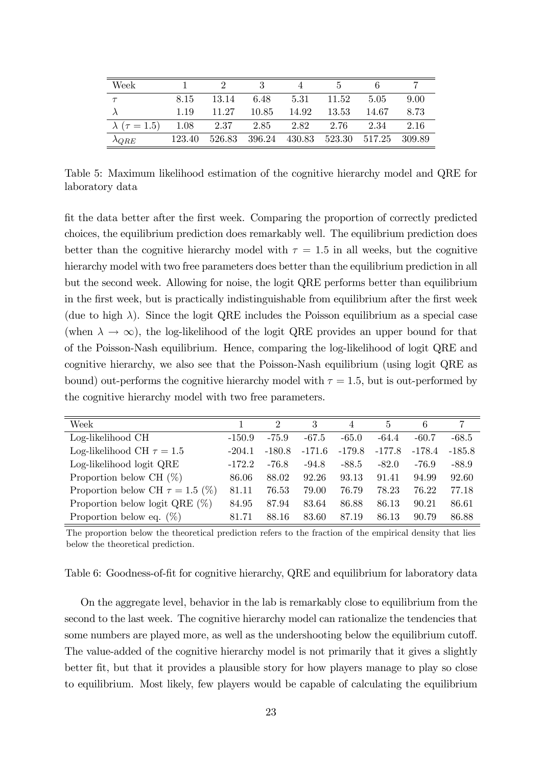<span id="page-24-0"></span>

| Week                       |        |               |        |        |        |        |          |
|----------------------------|--------|---------------|--------|--------|--------|--------|----------|
|                            | 8.15   | 13.14         | 6.48   | 5.31   | 11.52  | 5.05   | 9.00     |
|                            | 1.19   | 11.27         | 10.85  | 14.92  | 13.53  | 14.67  | 8.73     |
| $\lambda$ ( $\tau = 1.5$ ) | 1.08   | $2.37$ $2.85$ |        | 2.82   | 2.76   | 2.34   | 2.16     |
| $\lambda_{QRE}$            | 123.40 | 526.83        | 396.24 | 430.83 | 523.30 | 517.25 | - 309.89 |

Table 5: Maximum likelihood estimation of the cognitive hierarchy model and QRE for laboratory data

Öt the data better after the Örst week. Comparing the proportion of correctly predicted choices, the equilibrium prediction does remarkably well. The equilibrium prediction does better than the cognitive hierarchy model with  $\tau = 1.5$  in all weeks, but the cognitive hierarchy model with two free parameters does better than the equilibrium prediction in all but the second week. Allowing for noise, the logit QRE performs better than equilibrium in the first week, but is practically indistinguishable from equilibrium after the first week (due to high  $\lambda$ ). Since the logit QRE includes the Poisson equilibrium as a special case (when  $\lambda \to \infty$ ), the log-likelihood of the logit QRE provides an upper bound for that of the Poisson-Nash equilibrium. Hence, comparing the log-likelihood of logit QRE and cognitive hierarchy, we also see that the Poisson-Nash equilibrium (using logit QRE as bound) out-performs the cognitive hierarchy model with  $\tau = 1.5$ , but is out-performed by the cognitive hierarchy model with two free parameters.

<span id="page-24-1"></span>

| Week                                 |          | $\mathcal{D}$ | 3        | $\overline{4}$ | $\frac{5}{2}$ | 6        |          |
|--------------------------------------|----------|---------------|----------|----------------|---------------|----------|----------|
| Log-likelihood CH                    | $-150.9$ | $-75.9$       | $-67.5$  | $-65.0$        | $-64.4$       | $-60.7$  | $-68.5$  |
| Log-likelihood CH $\tau = 1.5$       | $-204.1$ | $-180.8$      | $-171.6$ | $-179.8$       | $-177.8$      | $-178.4$ | $-185.8$ |
| Log-likelihood logit QRE             | $-172.2$ | -76.8         | $-94.8$  | $-88.5$        | $-82.0$       | $-76.9$  | $-88.9$  |
| Proportion below CH $(\%)$           | 86.06    | 88.02         | 92.26    | 93.13          | 91.41         | 94.99    | 92.60    |
| Proportion below CH $\tau = 1.5$ (%) | 81.11    | 76.53         | 79.00    | 76.79          | 78.23         | 76.22    | 77.18    |
| Proportion below logit QRE $(\%)$    | 84.95    | 87.94         | 83.64    | 86.88          | 86.13         | 90.21    | 86.61    |
| Proportion below eq. $(\%)$          | 81.71    | 88.16         | 83.60    | 87.19          | 86.13         | 90.79    | 86.88    |

The proportion below the theoretical prediction refers to the fraction of the empirical density that lies below the theoretical prediction.

Table 6: Goodness-of-fit for cognitive hierarchy, QRE and equilibrium for laboratory data

On the aggregate level, behavior in the lab is remarkably close to equilibrium from the second to the last week. The cognitive hierarchy model can rationalize the tendencies that some numbers are played more, as well as the undershooting below the equilibrium cutoff. The value-added of the cognitive hierarchy model is not primarily that it gives a slightly better Öt, but that it provides a plausible story for how players manage to play so close to equilibrium. Most likely, few players would be capable of calculating the equilibrium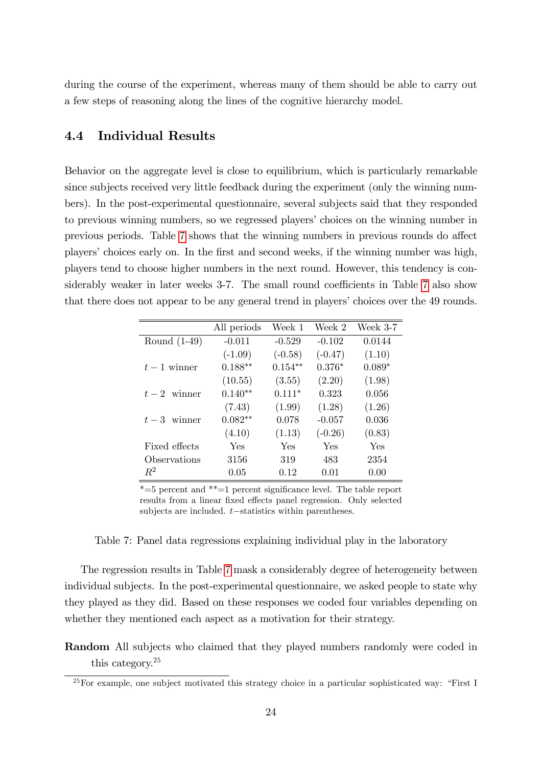during the course of the experiment, whereas many of them should be able to carry out a few steps of reasoning along the lines of the cognitive hierarchy model.

## 4.4 Individual Results

Behavior on the aggregate level is close to equilibrium, which is particularly remarkable since subjects received very little feedback during the experiment (only the winning numbers). In the post-experimental questionnaire, several subjects said that they responded to previous winning numbers, so we regressed players' choices on the winning number in previous periods. Table [7](#page-25-0) shows that the winning numbers in previous rounds do affect players' choices early on. In the first and second weeks, if the winning number was high, players tend to choose higher numbers in the next round. However, this tendency is con-siderably weaker in later weeks 3-7. The small round coefficients in Table [7](#page-25-0) also show that there does not appear to be any general trend in players' choices over the 49 rounds.

<span id="page-25-0"></span>

|                | All periods | Week 1    | Week 2    | Week $3-7$ |
|----------------|-------------|-----------|-----------|------------|
| Round $(1-49)$ | $-0.011$    | $-0.529$  | $-0.102$  | 0.0144     |
|                | $(-1.09)$   | $(-0.58)$ | $(-0.47)$ | (1.10)     |
| $t-1$ winner   | $0.188**$   | $0.154**$ | $0.376*$  | $0.089*$   |
|                | (10.55)     | (3.55)    | (2.20)    | (1.98)     |
| $t-2$ winner   | $0.140**$   | $0.111*$  | 0.323     | 0.056      |
|                | (7.43)      | (1.99)    | (1.28)    | (1.26)     |
| $t-3$ winner   | $0.082**$   | 0.078     | $-0.057$  | 0.036      |
|                | (4.10)      | (1.13)    | $(-0.26)$ | (0.83)     |
| Fixed effects  | Yes         | Yes       | Yes       | Yes        |
| Observations   | 3156        | 319       | 483       | 2354       |
| $R^2$          | 0.05        | 0.12      | 0.01      | 0.00       |

 $*=5$  percent and  $*=1$  percent significance level. The table report results from a linear fixed effects panel regression. Only selected subjects are included.  $t$ -statistics within parentheses.

Table 7: Panel data regressions explaining individual play in the laboratory

The regression results in Table [7](#page-25-0) mask a considerably degree of heterogeneity between individual subjects. In the post-experimental questionnaire, we asked people to state why they played as they did. Based on these responses we coded four variables depending on whether they mentioned each aspect as a motivation for their strategy.

Random All subjects who claimed that they played numbers randomly were coded in this category.<sup>25</sup>

 $^{25}$  For example, one subject motivated this strategy choice in a particular sophisticated way: "First I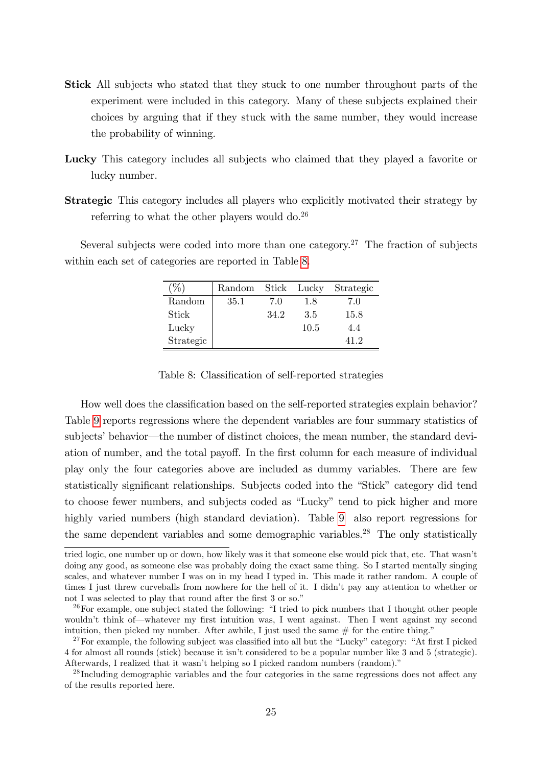- Stick All subjects who stated that they stuck to one number throughout parts of the experiment were included in this category. Many of these subjects explained their choices by arguing that if they stuck with the same number, they would increase the probability of winning.
- Lucky This category includes all subjects who claimed that they played a favorite or lucky number.
- Strategic This category includes all players who explicitly motivated their strategy by referring to what the other players would  $d_0$ <sup>26</sup>

<span id="page-26-0"></span>Several subjects were coded into more than one category.<sup>27</sup> The fraction of subjects within each set of categories are reported in Table [8.](#page-26-0)

| X         | Random |      | Stick Lucky | Strategic |
|-----------|--------|------|-------------|-----------|
| Random    | 35.1   | 7.0  | 1.8         | 7.0       |
| Stick     |        | 34.2 | 3.5         | 15.8      |
| Lucky     |        |      | 10.5        | 4.4       |
| Strategic |        |      |             | 41 2      |

Table 8: Classification of self-reported strategies

How well does the classification based on the self-reported strategies explain behavior? Table [9](#page-27-0) reports regressions where the dependent variables are four summary statistics of subjects' behavior—the number of distinct choices, the mean number, the standard deviation of number, and the total payoff. In the first column for each measure of individual play only the four categories above are included as dummy variables. There are few statistically significant relationships. Subjects coded into the "Stick" category did tend to choose fewer numbers, and subjects coded as "Lucky" tend to pick higher and more highly varied numbers (high standard deviation). Table [9](#page-27-0) also report regressions for the same dependent variables and some demographic variables.<sup>28</sup> The only statistically

tried logic, one number up or down, how likely was it that someone else would pick that, etc. That wasnít doing any good, as someone else was probably doing the exact same thing. So I started mentally singing scales, and whatever number I was on in my head I typed in. This made it rather random. A couple of times I just threw curveballs from nowhere for the hell of it. I didn't pay any attention to whether or not I was selected to play that round after the first 3 or so.<sup>"</sup>

 $26$  For example, one subject stated the following: "I tried to pick numbers that I thought other people wouldn't think of whatever my first intuition was, I went against. Then I went against my second intuition, then picked my number. After awhile, I just used the same  $#$  for the entire thing."

 $27$  For example, the following subject was classified into all but the "Lucky" category: "At first I picked 4 for almost all rounds (stick) because it isnít considered to be a popular number like 3 and 5 (strategic). Afterwards, I realized that it wasn't helping so I picked random numbers (random).

 $^{28}$  Including demographic variables and the four categories in the same regressions does not affect any of the results reported here.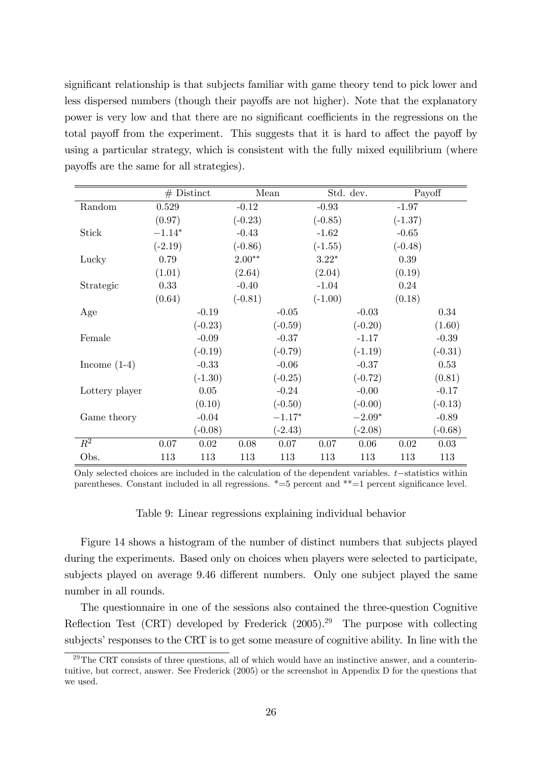significant relationship is that subjects familiar with game theory tend to pick lower and less dispersed numbers (though their payoffs are not higher). Note that the explanatory power is very low and that there are no significant coefficients in the regressions on the total payoff from the experiment. This suggests that it is hard to affect the payoff by using a particular strategy, which is consistent with the fully mixed equilibrium (where payoffs are the same for all strategies).

<span id="page-27-0"></span>

|                |           | $#$ Distinct |           | Mean      |           | Std. dev. |           | Payoff    |
|----------------|-----------|--------------|-----------|-----------|-----------|-----------|-----------|-----------|
| Random         | 0.529     |              | $-0.12$   |           | $-0.93$   |           | $-1.97$   |           |
|                | (0.97)    |              | $(-0.23)$ |           | $(-0.85)$ |           | $(-1.37)$ |           |
| <b>Stick</b>   | $-1.14*$  |              | $-0.43$   |           | $-1.62$   |           | $-0.65$   |           |
|                | $(-2.19)$ |              | $(-0.86)$ |           | $(-1.55)$ |           | $(-0.48)$ |           |
| Lucky          | 0.79      |              | $2.00**$  |           | $3.22*$   |           | 0.39      |           |
|                | (1.01)    |              | (2.64)    |           | (2.04)    |           | (0.19)    |           |
| Strategic      | 0.33      |              | $-0.40$   |           | $-1.04$   |           | 0.24      |           |
|                | (0.64)    |              | $(-0.81)$ |           | $(-1.00)$ |           | (0.18)    |           |
| Age            |           | $-0.19$      |           | $-0.05$   |           | $-0.03$   |           | 0.34      |
|                |           | $(-0.23)$    |           | $(-0.59)$ |           | $(-0.20)$ |           | (1.60)    |
| Female         |           | $-0.09$      |           | $-0.37$   |           | $-1.17$   |           | $-0.39$   |
|                |           | $(-0.19)$    |           | $(-0.79)$ |           | $(-1.19)$ |           | $(-0.31)$ |
| Income $(1-4)$ |           | $-0.33$      |           | $-0.06$   |           | $-0.37$   |           | 0.53      |
|                |           | $(-1.30)$    |           | $(-0.25)$ |           | $(-0.72)$ |           | (0.81)    |
| Lottery player |           | $0.05\,$     |           | $-0.24$   |           | $-0.00$   |           | $-0.17$   |
|                |           | (0.10)       |           | $(-0.50)$ |           | $(-0.00)$ |           | $(-0.13)$ |
| Game theory    |           | $-0.04$      |           | $-1.17*$  |           | $-2.09*$  |           | $-0.89$   |
|                |           | $(-0.08)$    |           | $(-2.43)$ |           | $(-2.08)$ |           | $(-0.68)$ |
| $R^2$          | 0.07      | 0.02         | 0.08      | $0.07\,$  | 0.07      | 0.06      | 0.02      | $0.03\,$  |
| Obs.           | 113       | 113          | 113       | 113       | 113       | 113       | 113       | 113       |

Only selected choices are included in the calculation of the dependent variables.  $t$ -statistics within parentheses. Constant included in all regressions.  $*=5$  percent and  $**=1$  percent significance level.

#### Table 9: Linear regressions explaining individual behavior

Figure 14 shows a histogram of the number of distinct numbers that subjects played during the experiments. Based only on choices when players were selected to participate, subjects played on average 9.46 different numbers. Only one subject played the same number in all rounds.

The questionnaire in one of the sessions also contained the three-question Cognitive Reflection Test (CRT) developed by Frederick  $(2005)^{29}$  The purpose with collecting subjects' responses to the CRT is to get some measure of cognitive ability. In line with the

 $29$ The CRT consists of three questions, all of which would have an instinctive answer, and a counterintuitive, but correct, answer. See Frederick (2005) or the screenshot in Appendix D for the questions that we used.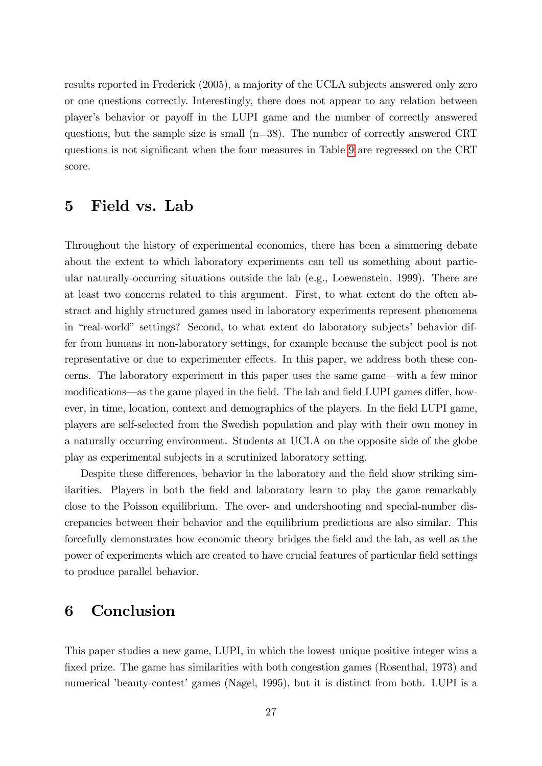results reported in Frederick (2005), a majority of the UCLA subjects answered only zero or one questions correctly. Interestingly, there does not appear to any relation between player's behavior or payoff in the LUPI game and the number of correctly answered questions, but the sample size is small (n=38). The number of correctly answered CRT questions is not significant when the four measures in Table [9](#page-27-0) are regressed on the CRT score.

## 5 Field vs. Lab

Throughout the history of experimental economics, there has been a simmering debate about the extent to which laboratory experiments can tell us something about particular naturally-occurring situations outside the lab (e.g., Loewenstein, 1999). There are at least two concerns related to this argument. First, to what extent do the often abstract and highly structured games used in laboratory experiments represent phenomena in "real-world" settings? Second, to what extent do laboratory subjects' behavior differ from humans in non-laboratory settings, for example because the subject pool is not representative or due to experimenter effects. In this paper, we address both these concerns. The laboratory experiment in this paper uses the same game—with a few minor modifications—as the game played in the field. The lab and field LUPI games differ, however, in time, location, context and demographics of the players. In the field LUPI game, players are self-selected from the Swedish population and play with their own money in a naturally occurring environment. Students at UCLA on the opposite side of the globe play as experimental subjects in a scrutinized laboratory setting.

Despite these differences, behavior in the laboratory and the field show striking similarities. Players in both the field and laboratory learn to play the game remarkably close to the Poisson equilibrium. The over- and undershooting and special-number discrepancies between their behavior and the equilibrium predictions are also similar. This forcefully demonstrates how economic theory bridges the Öeld and the lab, as well as the power of experiments which are created to have crucial features of particular field settings to produce parallel behavior.

# 6 Conclusion

This paper studies a new game, LUPI, in which the lowest unique positive integer wins a fixed prize. The game has similarities with both congestion games (Rosenthal, 1973) and numerical 'beauty-contest' games (Nagel, 1995), but it is distinct from both. LUPI is a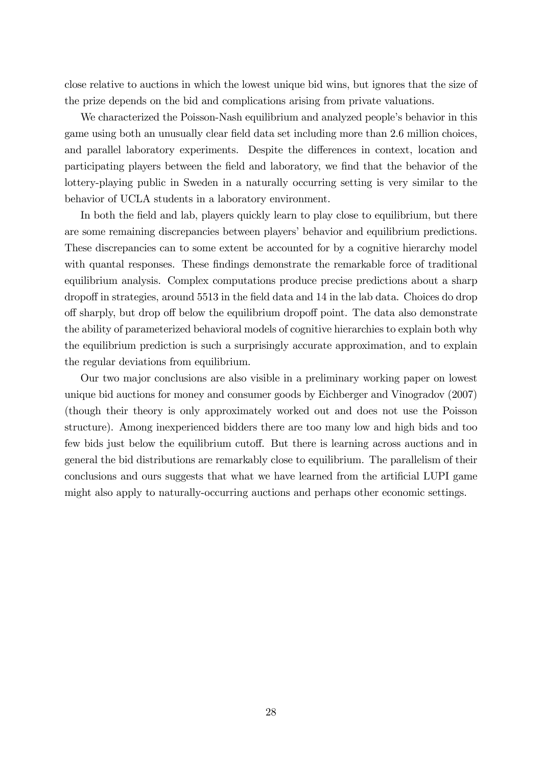close relative to auctions in which the lowest unique bid wins, but ignores that the size of the prize depends on the bid and complications arising from private valuations.

We characterized the Poisson-Nash equilibrium and analyzed people's behavior in this game using both an unusually clear field data set including more than 2.6 million choices, and parallel laboratory experiments. Despite the differences in context, location and participating players between the Öeld and laboratory, we Önd that the behavior of the lottery-playing public in Sweden in a naturally occurring setting is very similar to the behavior of UCLA students in a laboratory environment.

In both the field and lab, players quickly learn to play close to equilibrium, but there are some remaining discrepancies between players' behavior and equilibrium predictions. These discrepancies can to some extent be accounted for by a cognitive hierarchy model with quantal responses. These findings demonstrate the remarkable force of traditional equilibrium analysis. Complex computations produce precise predictions about a sharp dropoff in strategies, around 5513 in the field data and 14 in the lab data. Choices do drop off sharply, but drop off below the equilibrium dropoff point. The data also demonstrate the ability of parameterized behavioral models of cognitive hierarchies to explain both why the equilibrium prediction is such a surprisingly accurate approximation, and to explain the regular deviations from equilibrium.

Our two major conclusions are also visible in a preliminary working paper on lowest unique bid auctions for money and consumer goods by Eichberger and Vinogradov (2007) (though their theory is only approximately worked out and does not use the Poisson structure). Among inexperienced bidders there are too many low and high bids and too few bids just below the equilibrium cutoff. But there is learning across auctions and in general the bid distributions are remarkably close to equilibrium. The parallelism of their conclusions and ours suggests that what we have learned from the artificial LUPI game might also apply to naturally-occurring auctions and perhaps other economic settings.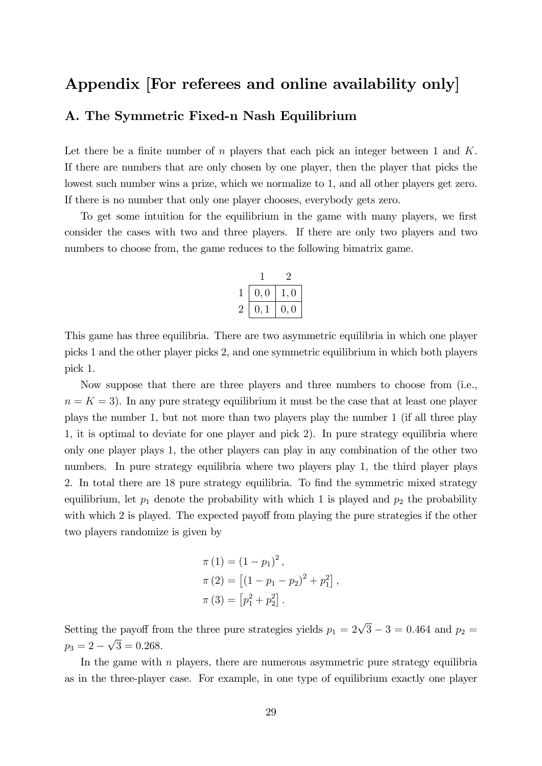# Appendix [For referees and online availability only]

## A. The Symmetric Fixed-n Nash Equilibrium

Let there be a finite number of n players that each pick an integer between 1 and  $K$ . If there are numbers that are only chosen by one player, then the player that picks the lowest such number wins a prize, which we normalize to 1, and all other players get zero. If there is no number that only one player chooses, everybody gets zero.

To get some intuition for the equilibrium in the game with many players, we first consider the cases with two and three players. If there are only two players and two numbers to choose from, the game reduces to the following bimatrix game.

|         | 0,0 | Ι.<br>$\cup$ |  |  |
|---------|-----|--------------|--|--|
| $\cdot$ | U.  | 0, 0         |  |  |

This game has three equilibria. There are two asymmetric equilibria in which one player picks 1 and the other player picks 2, and one symmetric equilibrium in which both players pick 1.

Now suppose that there are three players and three numbers to choose from (i.e.,  $n = K = 3$ . In any pure strategy equilibrium it must be the case that at least one player plays the number 1, but not more than two players play the number 1 (if all three play 1, it is optimal to deviate for one player and pick 2). In pure strategy equilibria where only one player plays 1, the other players can play in any combination of the other two numbers. In pure strategy equilibria where two players play 1, the third player plays 2. In total there are 18 pure strategy equilibria. To find the symmetric mixed strategy equilibrium, let  $p_1$  denote the probability with which 1 is played and  $p_2$  the probability with which 2 is played. The expected payoff from playing the pure strategies if the other two players randomize is given by

$$
\pi (1) = (1 - p_1)^2 ,
$$
  
\n
$$
\pi (2) = [(1 - p_1 - p_2)^2 + p_1^2] ,
$$
  
\n
$$
\pi (3) = [p_1^2 + p_2^2] .
$$

Setting the payoff from the three pure strategies yields  $p_1 = 2\sqrt{3} - 3 = 0.464$  and  $p_2 =$  $p_3 = 2 - \sqrt{3} = 0.268.$ 

In the game with  $n$  players, there are numerous asymmetric pure strategy equilibria as in the three-player case. For example, in one type of equilibrium exactly one player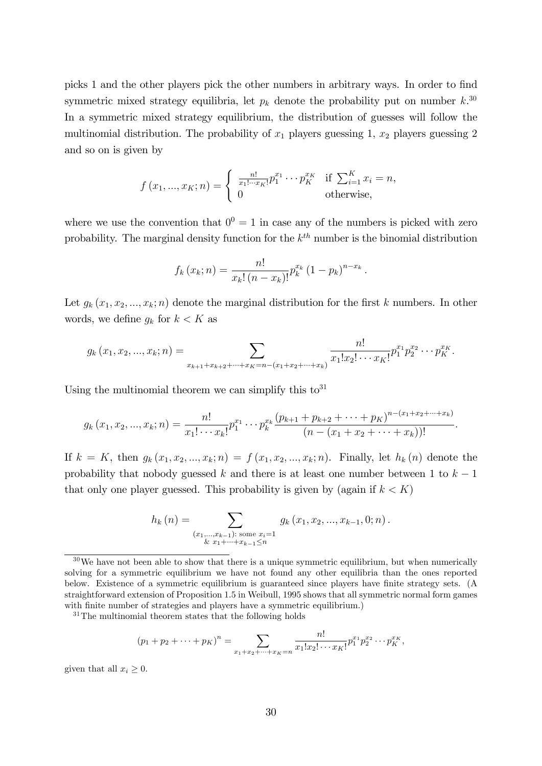picks 1 and the other players pick the other numbers in arbitrary ways. In order to find symmetric mixed strategy equilibria, let  $p_k$  denote the probability put on number  $k$ <sup>30</sup> In a symmetric mixed strategy equilibrium, the distribution of guesses will follow the multinomial distribution. The probability of  $x_1$  players guessing 1,  $x_2$  players guessing 2 and so on is given by

$$
f(x_1, ..., x_K; n) = \begin{cases} \frac{n!}{x_1! \cdots x_K!} p_1^{x_1} \cdots p_K^{x_K} & \text{if } \sum_{i=1}^K x_i = n, \\ 0 & \text{otherwise,} \end{cases}
$$

where we use the convention that  $0^0 = 1$  in case any of the numbers is picked with zero probability. The marginal density function for the  $k^{th}$  number is the binomial distribution

$$
f_k(x_k; n) = \frac{n!}{x_k! (n - x_k)!} p_k^{x_k} (1 - p_k)^{n - x_k}.
$$

Let  $g_k(x_1, x_2, ..., x_k; n)$  denote the marginal distribution for the first k numbers. In other words, we define  $g_k$  for  $k < K$  as

$$
g_k(x_1, x_2, ..., x_k; n) = \sum_{x_{k+1}+x_{k+2}+...+x_K=n-(x_1+x_2+...+x_k)} \frac{n!}{x_1!x_2! \cdots x_K!} p_1^{x_1} p_2^{x_2} \cdots p_K^{x_K}.
$$

Using the multinomial theorem we can simplify this  $\mathrm{to}^{31}$ 

$$
g_k(x_1, x_2, ..., x_k; n) = \frac{n!}{x_1! \cdots x_k!} p_1^{x_1} \cdots p_k^{x_k} \frac{(p_{k+1} + p_{k+2} + \cdots + p_K)^{n-(x_1+x_2+...+x_k)}}{(n-(x_1+x_2+\cdots+x_k))!}.
$$

If  $k = K$ , then  $g_k(x_1, x_2, ..., x_k; n) = f(x_1, x_2, ..., x_k; n)$ . Finally, let  $h_k(n)$  denote the probability that nobody guessed k and there is at least one number between 1 to  $k-1$ that only one player guessed. This probability is given by (again if  $k < K$ )

$$
h_k(n) = \sum_{\substack{(x_1,\ldots,x_{k-1}): \text{ some } x_i=1\\ \& x_1+\cdots+x_{k-1}\leq n}} g_k(x_1,x_2,\ldots,x_{k-1},0;n).
$$

<sup>31</sup>The multinomial theorem states that the following holds

$$
(p_1 + p_2 + \dots + p_K)^n = \sum_{x_1 + x_2 + \dots + x_K = n} \frac{n!}{x_1! x_2! \cdots x_K!} p_1^{x_1} p_2^{x_2} \cdots p_K^{x_K},
$$

given that all  $x_i \geq 0$ .

 $30\,\text{We have not been able to show that there is a unique symmetric equilibrium, but when numerically}$ solving for a symmetric equilibrium we have not found any other equilibria than the ones reported below. Existence of a symmetric equilibrium is guaranteed since players have finite strategy sets. (A straightforward extension of Proposition 1.5 in Weibull, 1995 shows that all symmetric normal form games with finite number of strategies and players have a symmetric equilibrium.)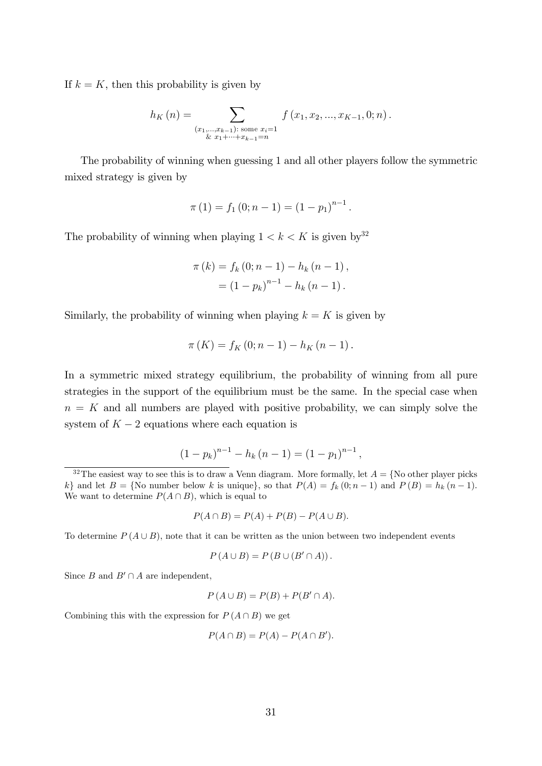If  $k = K$ , then this probability is given by

$$
h_K(n) = \sum_{\substack{(x_1,\ldots,x_{k-1}): \text{ some } x_i=1\\ \& x_1+\cdots+x_{k-1}=n}} f(x_1,x_2,\ldots,x_{K-1},0;n).
$$

The probability of winning when guessing 1 and all other players follow the symmetric mixed strategy is given by

$$
\pi(1) = f_1(0; n-1) = (1 - p_1)^{n-1}.
$$

The probability of winning when playing  $1 < k < K$  is given by  $3^2$ 

$$
\pi(k) = f_k(0; n - 1) - h_k(n - 1),
$$
  
=  $(1 - p_k)^{n-1} - h_k(n - 1).$ 

Similarly, the probability of winning when playing  $k = K$  is given by

$$
\pi(K) = f_K(0; n-1) - h_K(n-1).
$$

In a symmetric mixed strategy equilibrium, the probability of winning from all pure strategies in the support of the equilibrium must be the same. In the special case when  $n = K$  and all numbers are played with positive probability, we can simply solve the system of  $K - 2$  equations where each equation is

$$
(1-p_k)^{n-1} - h_k (n-1) = (1-p_1)^{n-1},
$$

$$
P(A \cap B) = P(A) + P(B) - P(A \cup B).
$$

To determine  $P(A \cup B)$ , note that it can be written as the union between two independent events

$$
P(A \cup B) = P(B \cup (B' \cap A)).
$$

Since B and  $B' \cap A$  are independent,

$$
P(A \cup B) = P(B) + P(B' \cap A).
$$

Combining this with the expression for  $P(A \cap B)$  we get

$$
P(A \cap B) = P(A) - P(A \cap B').
$$

 $32$ The easiest way to see this is to draw a Venn diagram. More formally, let  $A = \{No\ other\ player\ picks\}$ k} and let  $B = \{No \text{ number below } k \text{ is unique}\},\text{ so that } P(A) = f_k(0; n-1) \text{ and } P(B) = h_k(n-1).$ We want to determine  $P(A \cap B)$ , which is equal to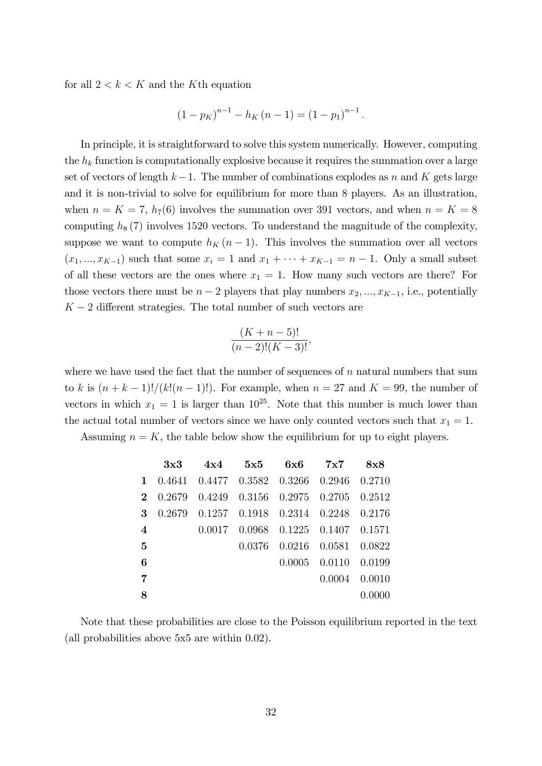for all  $2 < k < K$  and the K<sup>th</sup> equation

$$
(1 - pK)n-1 - hK (n - 1) = (1 - p1)n-1.
$$

In principle, it is straightforward to solve this system numerically. However, computing the  $h_k$  function is computationally explosive because it requires the summation over a large set of vectors of length  $k-1$ . The number of combinations explodes as n and K gets large and it is non-trivial to solve for equilibrium for more than 8 players. As an illustration, when  $n = K = 7$ ,  $h_7(6)$  involves the summation over 391 vectors, and when  $n = K = 8$ computing  $h_8$  (7) involves 1520 vectors. To understand the magnitude of the complexity, suppose we want to compute  $h_K (n - 1)$ . This involves the summation over all vectors  $(x_1, ..., x_{K-1})$  such that some  $x_i = 1$  and  $x_1 + \cdots + x_{K-1} = n - 1$ . Only a small subset of all these vectors are the ones where  $x_1 = 1$ . How many such vectors are there? For those vectors there must be  $n-2$  players that play numbers  $x_2, ..., x_{K-1}$ , i.e., potentially  $K - 2$  different strategies. The total number of such vectors are

$$
\frac{(K+n-5)!}{(n-2)!(K-3)!},
$$

where we have used the fact that the number of sequences of  $n$  natural numbers that sum to k is  $(n + k - 1)!/(k!(n - 1)!)$ . For example, when  $n = 27$  and  $K = 99$ , the number of vectors in which  $x_1 = 1$  is larger than  $10^{25}$ . Note that this number is much lower than the actual total number of vectors since we have only counted vectors such that  $x_1 = 1$ .

Assuming  $n = K$ , the table below show the equilibrium for up to eight players.

|                  |  |  | $3x3 \t 4x4 \t 5x5 \t 6x6 \t 7x7 \t 8x8$     |               |
|------------------|--|--|----------------------------------------------|---------------|
|                  |  |  | 1 0.4641 0.4477 0.3582 0.3266 0.2946 0.2710  |               |
|                  |  |  | 2 0.2679 0.4249 0.3156 0.2975 0.2705 0.2512  |               |
|                  |  |  | 3 0.2679 0.1257 0.1918 0.2314 0.2248 0.2176  |               |
| $\boldsymbol{4}$ |  |  | $0.0017$ $0.0968$ $0.1225$ $0.1407$ $0.1571$ |               |
| $\overline{5}$   |  |  | 0.0376 0.0216 0.0581 0.0822                  |               |
| 6                |  |  | $0.0005$ $0.0110$ $0.0199$                   |               |
| $\overline{7}$   |  |  |                                              | 0.0004 0.0010 |
| 8                |  |  |                                              | 0.0000        |

Note that these probabilities are close to the Poisson equilibrium reported in the text (all probabilities above 5x5 are within 0.02).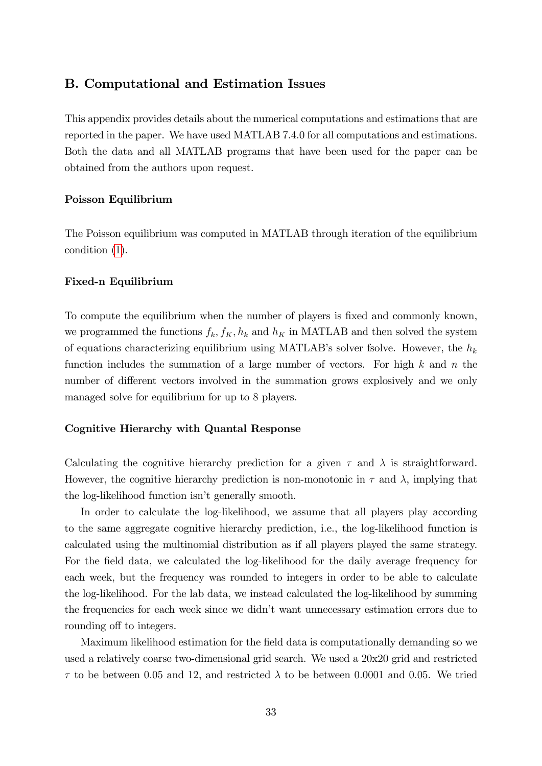#### B. Computational and Estimation Issues

This appendix provides details about the numerical computations and estimations that are reported in the paper. We have used MATLAB 7.4.0 for all computations and estimations. Both the data and all MATLAB programs that have been used for the paper can be obtained from the authors upon request.

#### Poisson Equilibrium

The Poisson equilibrium was computed in MATLAB through iteration of the equilibrium condition [\(1\)](#page-6-0).

#### Fixed-n Equilibrium

To compute the equilibrium when the number of players is fixed and commonly known, we programmed the functions  $f_k, f_K, h_k$  and  $h_K$  in MATLAB and then solved the system of equations characterizing equilibrium using MATLAB's solver fsolve. However, the  $h_k$ function includes the summation of a large number of vectors. For high  $k$  and  $n$  the number of different vectors involved in the summation grows explosively and we only managed solve for equilibrium for up to 8 players.

#### Cognitive Hierarchy with Quantal Response

Calculating the cognitive hierarchy prediction for a given  $\tau$  and  $\lambda$  is straightforward. However, the cognitive hierarchy prediction is non-monotonic in  $\tau$  and  $\lambda$ , implying that the log-likelihood function isn't generally smooth.

In order to calculate the log-likelihood, we assume that all players play according to the same aggregate cognitive hierarchy prediction, i.e., the log-likelihood function is calculated using the multinomial distribution as if all players played the same strategy. For the field data, we calculated the log-likelihood for the daily average frequency for each week, but the frequency was rounded to integers in order to be able to calculate the log-likelihood. For the lab data, we instead calculated the log-likelihood by summing the frequencies for each week since we didnít want unnecessary estimation errors due to rounding off to integers.

Maximum likelihood estimation for the Öeld data is computationally demanding so we used a relatively coarse two-dimensional grid search. We used a 20x20 grid and restricted  $\tau$  to be between 0.05 and 12, and restricted  $\lambda$  to be between 0.0001 and 0.05. We tried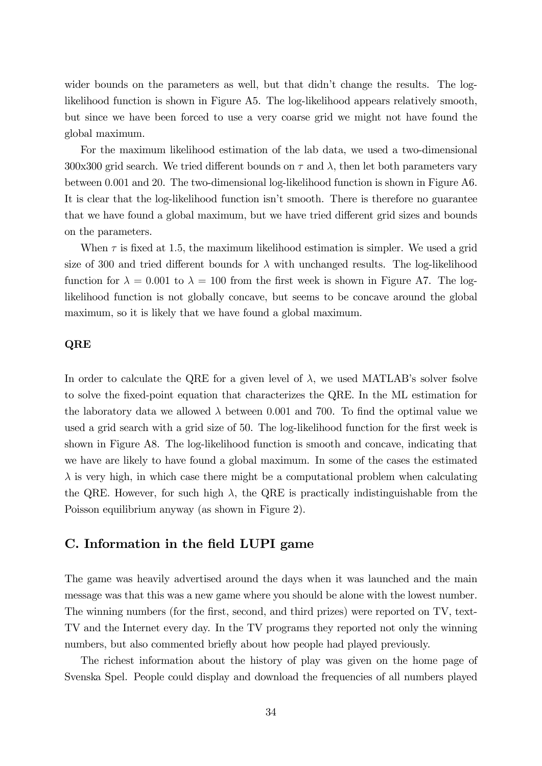wider bounds on the parameters as well, but that didn't change the results. The loglikelihood function is shown in Figure A5. The log-likelihood appears relatively smooth, but since we have been forced to use a very coarse grid we might not have found the global maximum.

For the maximum likelihood estimation of the lab data, we used a two-dimensional 300x300 grid search. We tried different bounds on  $\tau$  and  $\lambda$ , then let both parameters vary between 0:001 and 20. The two-dimensional log-likelihood function is shown in Figure A6. It is clear that the log-likelihood function isn't smooth. There is therefore no guarantee that we have found a global maximum, but we have tried different grid sizes and bounds on the parameters.

When  $\tau$  is fixed at 1.5, the maximum likelihood estimation is simpler. We used a grid size of 300 and tried different bounds for  $\lambda$  with unchanged results. The log-likelihood function for  $\lambda = 0.001$  to  $\lambda = 100$  from the first week is shown in Figure A7. The loglikelihood function is not globally concave, but seems to be concave around the global maximum, so it is likely that we have found a global maximum.

#### QRE

In order to calculate the QRE for a given level of  $\lambda$ , we used MATLAB's solver fsolve to solve the Öxed-point equation that characterizes the QRE. In the ML estimation for the laboratory data we allowed  $\lambda$  between 0.001 and 700. To find the optimal value we used a grid search with a grid size of 50. The log-likelihood function for the first week is shown in Figure A8. The log-likelihood function is smooth and concave, indicating that we have are likely to have found a global maximum. In some of the cases the estimated  $\lambda$  is very high, in which case there might be a computational problem when calculating the QRE. However, for such high  $\lambda$ , the QRE is practically indistinguishable from the Poisson equilibrium anyway (as shown in Figure 2).

## C. Information in the field LUPI game

The game was heavily advertised around the days when it was launched and the main message was that this was a new game where you should be alone with the lowest number. The winning numbers (for the first, second, and third prizes) were reported on TV, text-TV and the Internet every day. In the TV programs they reported not only the winning numbers, but also commented briefly about how people had played previously.

The richest information about the history of play was given on the home page of Svenska Spel. People could display and download the frequencies of all numbers played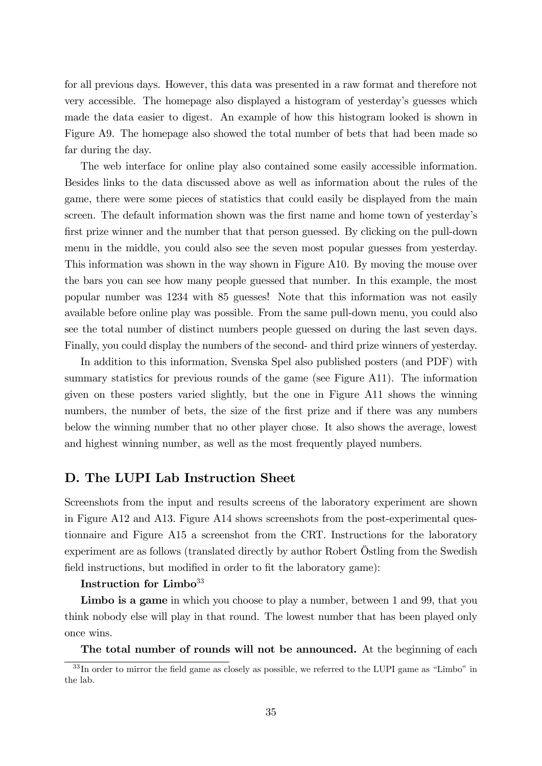for all previous days. However, this data was presented in a raw format and therefore not very accessible. The homepage also displayed a histogram of yesterdayís guesses which made the data easier to digest. An example of how this histogram looked is shown in Figure A9. The homepage also showed the total number of bets that had been made so far during the day.

The web interface for online play also contained some easily accessible information. Besides links to the data discussed above as well as information about the rules of the game, there were some pieces of statistics that could easily be displayed from the main screen. The default information shown was the first name and home town of yesterday's first prize winner and the number that that person guessed. By clicking on the pull-down menu in the middle, you could also see the seven most popular guesses from yesterday. This information was shown in the way shown in Figure A10. By moving the mouse over the bars you can see how many people guessed that number. In this example, the most popular number was 1234 with 85 guesses! Note that this information was not easily available before online play was possible. From the same pull-down menu, you could also see the total number of distinct numbers people guessed on during the last seven days. Finally, you could display the numbers of the second- and third prize winners of yesterday.

In addition to this information, Svenska Spel also published posters (and PDF) with summary statistics for previous rounds of the game (see Figure A11). The information given on these posters varied slightly, but the one in Figure A11 shows the winning numbers, the number of bets, the size of the first prize and if there was any numbers below the winning number that no other player chose. It also shows the average, lowest and highest winning number, as well as the most frequently played numbers.

## D. The LUPI Lab Instruction Sheet

Screenshots from the input and results screens of the laboratory experiment are shown in Figure A12 and A13. Figure A14 shows screenshots from the post-experimental questionnaire and Figure A15 a screenshot from the CRT. Instructions for the laboratory experiment are as follows (translated directly by author Robert Östling from the Swedish field instructions, but modified in order to fit the laboratory game):

#### Instruction for Limbo<sup>33</sup>

Limbo is a game in which you choose to play a number, between 1 and 99, that you think nobody else will play in that round. The lowest number that has been played only once wins.

The total number of rounds will not be announced. At the beginning of each

 $33$  In order to mirror the field game as closely as possible, we referred to the LUPI game as "Limbo" in the lab.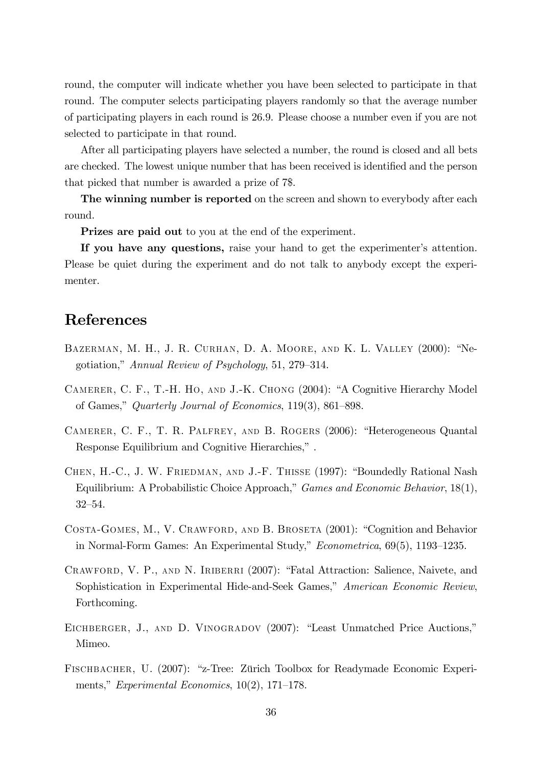round, the computer will indicate whether you have been selected to participate in that round. The computer selects participating players randomly so that the average number of participating players in each round is 26.9. Please choose a number even if you are not selected to participate in that round.

After all participating players have selected a number, the round is closed and all bets are checked. The lowest unique number that has been received is identified and the person that picked that number is awarded a prize of 7\$.

The winning number is reported on the screen and shown to everybody after each round.

Prizes are paid out to you at the end of the experiment.

If you have any questions, raise your hand to get the experimenter's attention. Please be quiet during the experiment and do not talk to anybody except the experimenter.

# References

- BAZERMAN, M. H., J. R. CURHAN, D. A. MOORE, AND K. L. VALLEY (2000): "Negotiation," Annual Review of Psychology, 51, 279–314.
- CAMERER, C. F., T.-H. HO, AND J.-K. CHONG (2004): "A Cognitive Hierarchy Model of Games," Quarterly Journal of Economics,  $119(3)$ , 861–898.
- CAMERER, C. F., T. R. PALFREY, AND B. ROGERS (2006): "Heterogeneous Quantal Response Equilibrium and Cognitive Hierarchies,".
- CHEN, H.-C., J. W. FRIEDMAN, AND J.-F. THISSE (1997): "Boundedly Rational Nash Equilibrium: A Probabilistic Choice Approach," Games and Economic Behavior, 18(1), 32-54.
- COSTA-GOMES, M., V. CRAWFORD, AND B. BROSETA (2001): "Cognition and Behavior in Normal-Form Games: An Experimental Study,"  $Econometrica$ , 69(5), 1193-1235.
- CRAWFORD, V. P., AND N. IRIBERRI (2007): "Fatal Attraction: Salience, Naivete, and Sophistication in Experimental Hide-and-Seek Games," American Economic Review, Forthcoming.
- EICHBERGER, J., AND D. VINOGRADOV (2007): "Least Unmatched Price Auctions," Mimeo.
- FISCHBACHER, U. (2007): "z-Tree: Zürich Toolbox for Readymade Economic Experiments," Experimental Economics,  $10(2)$ , 171–178.